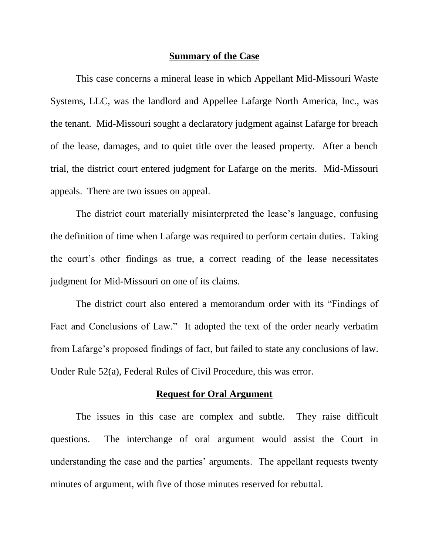#### **Summary of the Case**

This case concerns a mineral lease in which Appellant Mid-Missouri Waste Systems, LLC, was the landlord and Appellee Lafarge North America, Inc., was the tenant. Mid-Missouri sought a declaratory judgment against Lafarge for breach of the lease, damages, and to quiet title over the leased property. After a bench trial, the district court entered judgment for Lafarge on the merits. Mid-Missouri appeals. There are two issues on appeal.

The district court materially misinterpreted the lease's language, confusing the definition of time when Lafarge was required to perform certain duties. Taking the court"s other findings as true, a correct reading of the lease necessitates judgment for Mid-Missouri on one of its claims.

The district court also entered a memorandum order with its "Findings of Fact and Conclusions of Law." It adopted the text of the order nearly verbatim from Lafarge's proposed findings of fact, but failed to state any conclusions of law. Under Rule 52(a), Federal Rules of Civil Procedure, this was error.

#### **Request for Oral Argument**

The issues in this case are complex and subtle. They raise difficult questions. The interchange of oral argument would assist the Court in understanding the case and the parties' arguments. The appellant requests twenty minutes of argument, with five of those minutes reserved for rebuttal.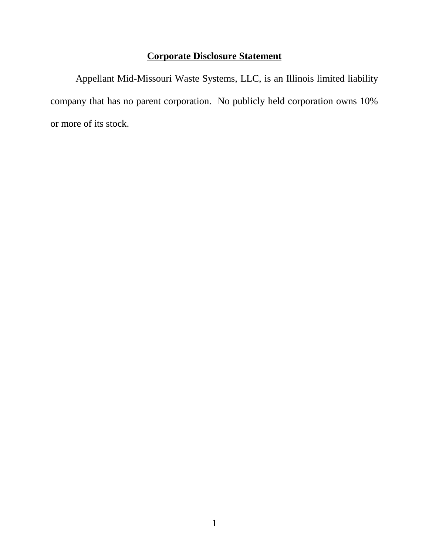# **Corporate Disclosure Statement**

Appellant Mid-Missouri Waste Systems, LLC, is an Illinois limited liability company that has no parent corporation. No publicly held corporation owns 10% or more of its stock.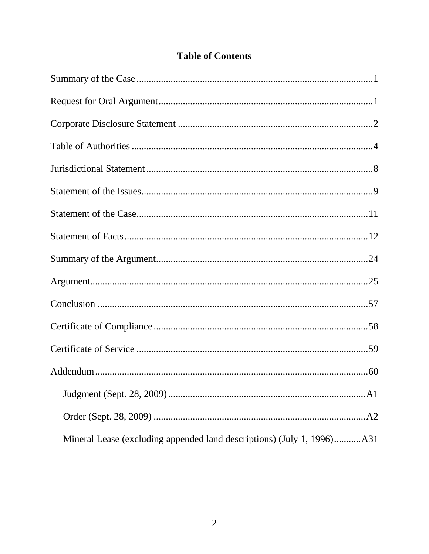# **Table of Contents**

| Mineral Lease (excluding appended land descriptions) (July 1, 1996)A31 |
|------------------------------------------------------------------------|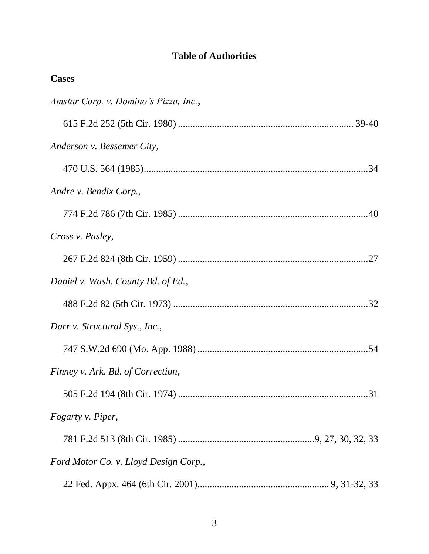# **Table of Authorities**

| <b>Cases</b>                          |
|---------------------------------------|
| Amstar Corp. v. Domino's Pizza, Inc., |
|                                       |
| Anderson v. Bessemer City,            |
|                                       |
| Andre v. Bendix Corp.,                |
|                                       |
| Cross v. Pasley,                      |
|                                       |
| Daniel v. Wash. County Bd. of Ed.,    |
|                                       |
| Darr v. Structural Sys., Inc.,        |
|                                       |
| Finney v. Ark. Bd. of Correction,     |
|                                       |
| Fogarty v. Piper,                     |
|                                       |
| Ford Motor Co. v. Lloyd Design Corp., |
|                                       |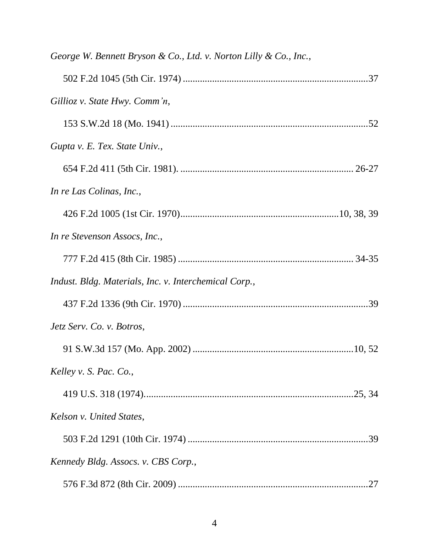| George W. Bennett Bryson & Co., Ltd. v. Norton Lilly & Co., Inc., |
|-------------------------------------------------------------------|
|                                                                   |
| Gillioz v. State Hwy. Comm'n,                                     |
|                                                                   |
| Gupta v. E. Tex. State Univ.,                                     |
|                                                                   |
| In re Las Colinas, Inc.,                                          |
|                                                                   |
| In re Stevenson Assocs, Inc.,                                     |
|                                                                   |
| Indust. Bldg. Materials, Inc. v. Interchemical Corp.,             |
|                                                                   |
| Jetz Serv. Co. v. Botros,                                         |
|                                                                   |
| Kelley v. S. Pac. Co.,                                            |
|                                                                   |
| Kelson v. United States,                                          |
|                                                                   |
| Kennedy Bldg. Assocs. v. CBS Corp.,                               |
|                                                                   |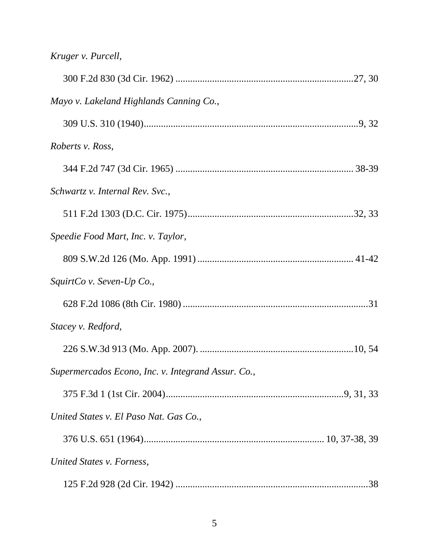|  |  | Kruger v. Purcell, |
|--|--|--------------------|
|--|--|--------------------|

| Mayo v. Lakeland Highlands Canning Co.,            |  |
|----------------------------------------------------|--|
|                                                    |  |
| Roberts v. Ross,                                   |  |
|                                                    |  |
| Schwartz v. Internal Rev. Svc.,                    |  |
|                                                    |  |
| Speedie Food Mart, Inc. v. Taylor,                 |  |
|                                                    |  |
| SquirtCo v. Seven-Up Co.,                          |  |
|                                                    |  |
| Stacey v. Redford,                                 |  |
|                                                    |  |
| Supermercados Econo, Inc. v. Integrand Assur. Co., |  |
|                                                    |  |
| United States v. El Paso Nat. Gas Co.,             |  |
|                                                    |  |
| United States v. Forness,                          |  |
|                                                    |  |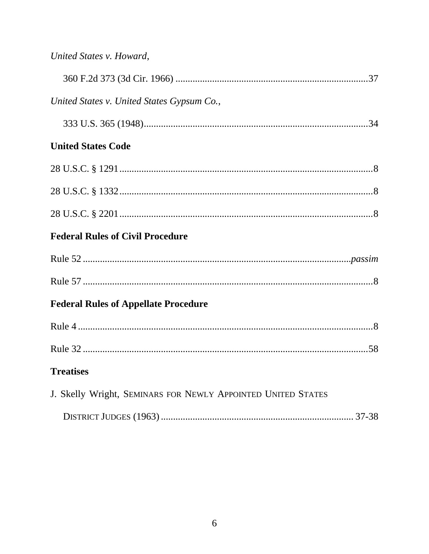| United States v. United States Gypsum Co.,                   |  |
|--------------------------------------------------------------|--|
|                                                              |  |
| <b>United States Code</b>                                    |  |
|                                                              |  |
|                                                              |  |
|                                                              |  |
| <b>Federal Rules of Civil Procedure</b>                      |  |
|                                                              |  |
|                                                              |  |
| <b>Federal Rules of Appellate Procedure</b>                  |  |
|                                                              |  |
|                                                              |  |
| <b>Treatises</b>                                             |  |
| J. Skelly Wright, SEMINARS FOR NEWLY APPOINTED UNITED STATES |  |
|                                                              |  |

|--|--|--|--|--|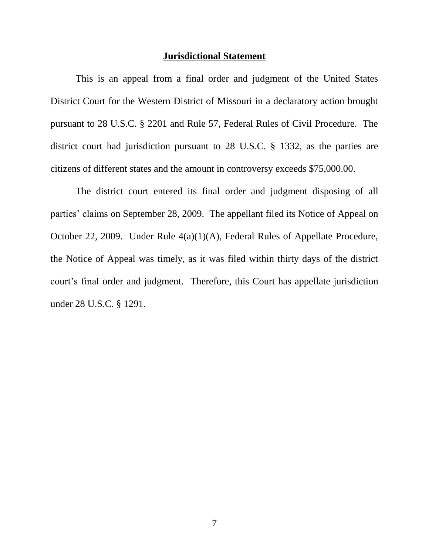#### **Jurisdictional Statement**

This is an appeal from a final order and judgment of the United States District Court for the Western District of Missouri in a declaratory action brought pursuant to 28 U.S.C. § 2201 and Rule 57, Federal Rules of Civil Procedure. The district court had jurisdiction pursuant to 28 U.S.C. § 1332, as the parties are citizens of different states and the amount in controversy exceeds \$75,000.00.

The district court entered its final order and judgment disposing of all parties' claims on September 28, 2009. The appellant filed its Notice of Appeal on October 22, 2009. Under Rule 4(a)(1)(A), Federal Rules of Appellate Procedure, the Notice of Appeal was timely, as it was filed within thirty days of the district court"s final order and judgment. Therefore, this Court has appellate jurisdiction under 28 U.S.C. § 1291.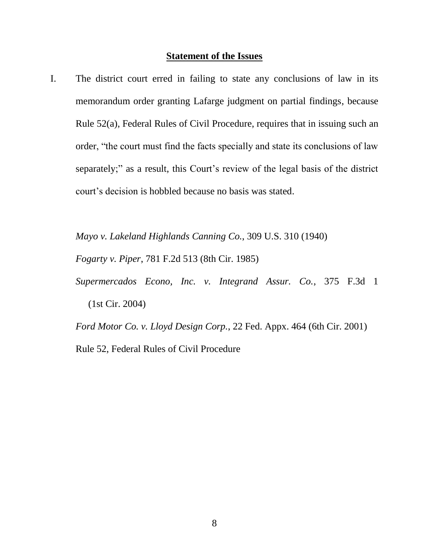### **Statement of the Issues**

I. The district court erred in failing to state any conclusions of law in its memorandum order granting Lafarge judgment on partial findings, because Rule 52(a), Federal Rules of Civil Procedure, requires that in issuing such an order, "the court must find the facts specially and state its conclusions of law separately;" as a result, this Court's review of the legal basis of the district court"s decision is hobbled because no basis was stated.

*Mayo v. Lakeland Highlands Canning Co.*, 309 U.S. 310 (1940)

*Fogarty v. Piper*, 781 F.2d 513 (8th Cir. 1985)

*Supermercados Econo, Inc. v. Integrand Assur. Co.*, 375 F.3d 1 (1st Cir. 2004)

*Ford Motor Co. v. Lloyd Design Corp.*, 22 Fed. Appx. 464 (6th Cir. 2001) Rule 52, Federal Rules of Civil Procedure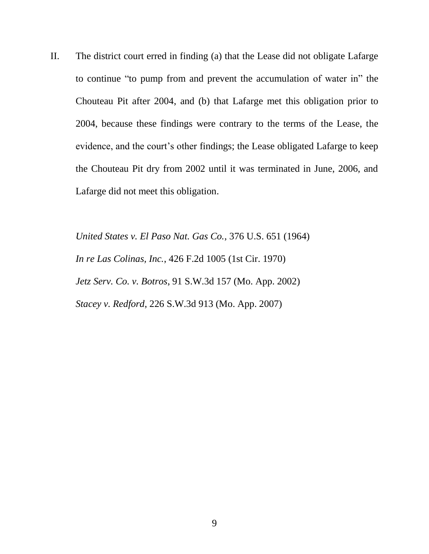II. The district court erred in finding (a) that the Lease did not obligate Lafarge to continue "to pump from and prevent the accumulation of water in" the Chouteau Pit after 2004, and (b) that Lafarge met this obligation prior to 2004, because these findings were contrary to the terms of the Lease, the evidence, and the court's other findings; the Lease obligated Lafarge to keep the Chouteau Pit dry from 2002 until it was terminated in June, 2006, and Lafarge did not meet this obligation.

*United States v. El Paso Nat. Gas Co.*, 376 U.S. 651 (1964) *In re Las Colinas, Inc.*, 426 F.2d 1005 (1st Cir. 1970) *Jetz Serv. Co. v. Botros*, 91 S.W.3d 157 (Mo. App. 2002) *Stacey v. Redford*, 226 S.W.3d 913 (Mo. App. 2007)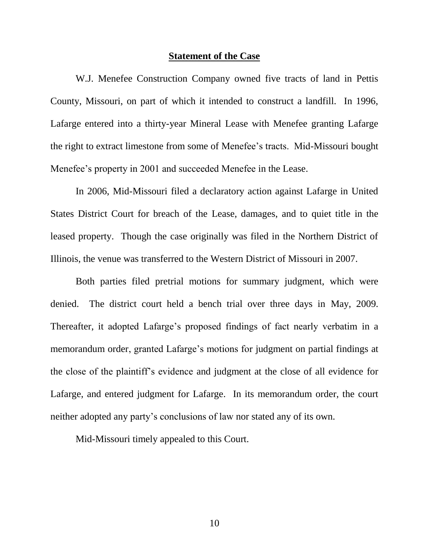#### **Statement of the Case**

W.J. Menefee Construction Company owned five tracts of land in Pettis County, Missouri, on part of which it intended to construct a landfill. In 1996, Lafarge entered into a thirty-year Mineral Lease with Menefee granting Lafarge the right to extract limestone from some of Menefee"s tracts. Mid-Missouri bought Menefee's property in 2001 and succeeded Menefee in the Lease.

In 2006, Mid-Missouri filed a declaratory action against Lafarge in United States District Court for breach of the Lease, damages, and to quiet title in the leased property. Though the case originally was filed in the Northern District of Illinois, the venue was transferred to the Western District of Missouri in 2007.

Both parties filed pretrial motions for summary judgment, which were denied. The district court held a bench trial over three days in May, 2009. Thereafter, it adopted Lafarge"s proposed findings of fact nearly verbatim in a memorandum order, granted Lafarge"s motions for judgment on partial findings at the close of the plaintiff"s evidence and judgment at the close of all evidence for Lafarge, and entered judgment for Lafarge. In its memorandum order, the court neither adopted any party"s conclusions of law nor stated any of its own.

Mid-Missouri timely appealed to this Court.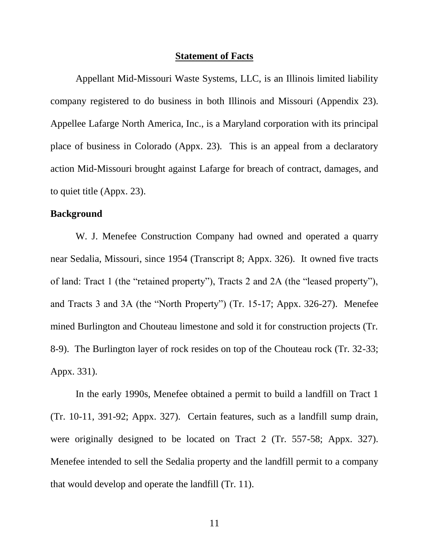#### **Statement of Facts**

Appellant Mid-Missouri Waste Systems, LLC, is an Illinois limited liability company registered to do business in both Illinois and Missouri (Appendix 23). Appellee Lafarge North America, Inc., is a Maryland corporation with its principal place of business in Colorado (Appx. 23). This is an appeal from a declaratory action Mid-Missouri brought against Lafarge for breach of contract, damages, and to quiet title (Appx. 23).

### **Background**

W. J. Menefee Construction Company had owned and operated a quarry near Sedalia, Missouri, since 1954 (Transcript 8; Appx. 326). It owned five tracts of land: Tract 1 (the "retained property"), Tracts 2 and 2A (the "leased property"), and Tracts 3 and 3A (the "North Property") (Tr. 15-17; Appx. 326-27). Menefee mined Burlington and Chouteau limestone and sold it for construction projects (Tr. 8-9). The Burlington layer of rock resides on top of the Chouteau rock (Tr. 32-33; Appx. 331).

In the early 1990s, Menefee obtained a permit to build a landfill on Tract 1 (Tr. 10-11, 391-92; Appx. 327). Certain features, such as a landfill sump drain, were originally designed to be located on Tract 2 (Tr. 557-58; Appx. 327). Menefee intended to sell the Sedalia property and the landfill permit to a company that would develop and operate the landfill (Tr. 11).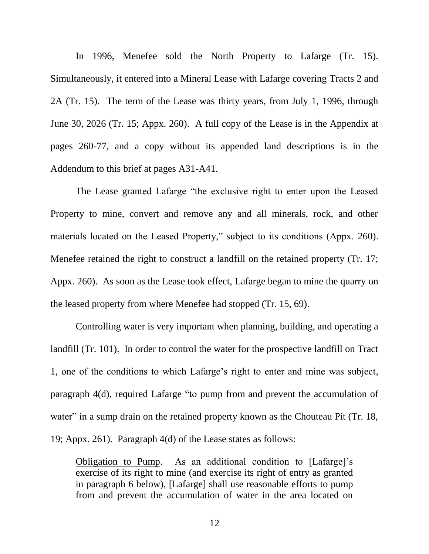In 1996, Menefee sold the North Property to Lafarge (Tr. 15). Simultaneously, it entered into a Mineral Lease with Lafarge covering Tracts 2 and 2A (Tr. 15). The term of the Lease was thirty years, from July 1, 1996, through June 30, 2026 (Tr. 15; Appx. 260). A full copy of the Lease is in the Appendix at pages 260-77, and a copy without its appended land descriptions is in the Addendum to this brief at pages A31-A41.

The Lease granted Lafarge "the exclusive right to enter upon the Leased Property to mine, convert and remove any and all minerals, rock, and other materials located on the Leased Property," subject to its conditions (Appx. 260). Menefee retained the right to construct a landfill on the retained property (Tr. 17; Appx. 260). As soon as the Lease took effect, Lafarge began to mine the quarry on the leased property from where Menefee had stopped (Tr. 15, 69).

Controlling water is very important when planning, building, and operating a landfill (Tr. 101). In order to control the water for the prospective landfill on Tract 1, one of the conditions to which Lafarge's right to enter and mine was subject, paragraph 4(d), required Lafarge "to pump from and prevent the accumulation of water" in a sump drain on the retained property known as the Chouteau Pit (Tr. 18, 19; Appx. 261). Paragraph 4(d) of the Lease states as follows:

Obligation to Pump. As an additional condition to [Lafarge]"s exercise of its right to mine (and exercise its right of entry as granted in paragraph 6 below), [Lafarge] shall use reasonable efforts to pump from and prevent the accumulation of water in the area located on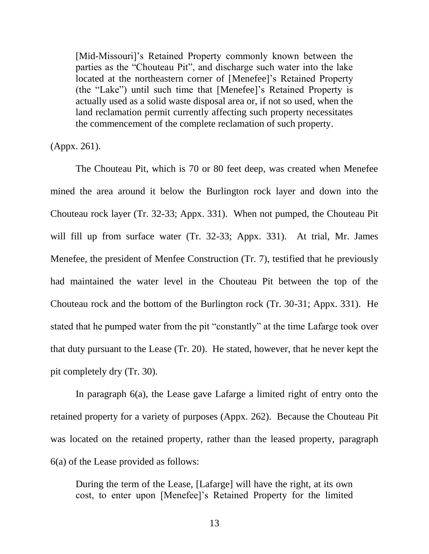[Mid-Missouri]'s Retained Property commonly known between the parties as the "Chouteau Pit", and discharge such water into the lake located at the northeastern corner of [Menefee]'s Retained Property (the "Lake") until such time that [Menefee]"s Retained Property is actually used as a solid waste disposal area or, if not so used, when the land reclamation permit currently affecting such property necessitates the commencement of the complete reclamation of such property.

(Appx. 261).

The Chouteau Pit, which is 70 or 80 feet deep, was created when Menefee mined the area around it below the Burlington rock layer and down into the Chouteau rock layer (Tr. 32-33; Appx. 331). When not pumped, the Chouteau Pit will fill up from surface water (Tr. 32-33; Appx. 331). At trial, Mr. James Menefee, the president of Menfee Construction (Tr. 7), testified that he previously had maintained the water level in the Chouteau Pit between the top of the Chouteau rock and the bottom of the Burlington rock (Tr. 30-31; Appx. 331). He stated that he pumped water from the pit "constantly" at the time Lafarge took over that duty pursuant to the Lease (Tr. 20). He stated, however, that he never kept the pit completely dry (Tr. 30).

In paragraph 6(a), the Lease gave Lafarge a limited right of entry onto the retained property for a variety of purposes (Appx. 262). Because the Chouteau Pit was located on the retained property, rather than the leased property, paragraph 6(a) of the Lease provided as follows:

During the term of the Lease, [Lafarge] will have the right, at its own cost, to enter upon [Menefee]"s Retained Property for the limited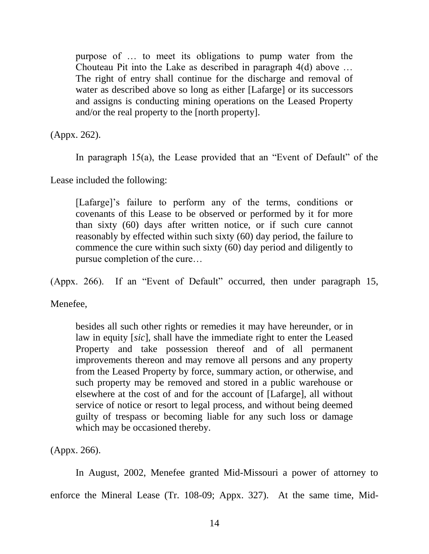purpose of … to meet its obligations to pump water from the Chouteau Pit into the Lake as described in paragraph 4(d) above … The right of entry shall continue for the discharge and removal of water as described above so long as either [Lafarge] or its successors and assigns is conducting mining operations on the Leased Property and/or the real property to the [north property].

(Appx. 262).

In paragraph 15(a), the Lease provided that an "Event of Default" of the

Lease included the following:

[Lafarge]'s failure to perform any of the terms, conditions or covenants of this Lease to be observed or performed by it for more than sixty (60) days after written notice, or if such cure cannot reasonably by effected within such sixty (60) day period, the failure to commence the cure within such sixty (60) day period and diligently to pursue completion of the cure…

(Appx. 266). If an "Event of Default" occurred, then under paragraph 15,

Menefee.

besides all such other rights or remedies it may have hereunder, or in law in equity [*sic*], shall have the immediate right to enter the Leased Property and take possession thereof and of all permanent improvements thereon and may remove all persons and any property from the Leased Property by force, summary action, or otherwise, and such property may be removed and stored in a public warehouse or elsewhere at the cost of and for the account of [Lafarge], all without service of notice or resort to legal process, and without being deemed guilty of trespass or becoming liable for any such loss or damage which may be occasioned thereby.

(Appx. 266).

In August, 2002, Menefee granted Mid-Missouri a power of attorney to enforce the Mineral Lease (Tr. 108-09; Appx. 327). At the same time, Mid-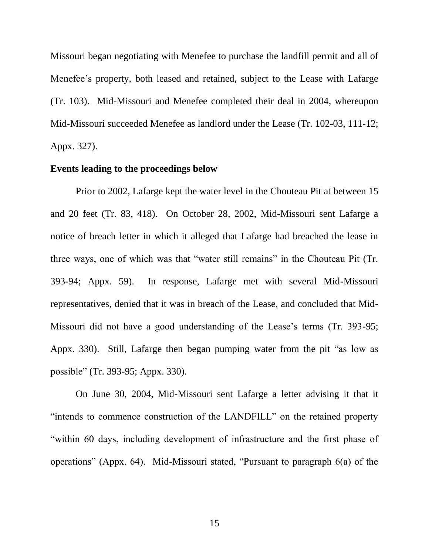Missouri began negotiating with Menefee to purchase the landfill permit and all of Menefee"s property, both leased and retained, subject to the Lease with Lafarge (Tr. 103). Mid-Missouri and Menefee completed their deal in 2004, whereupon Mid-Missouri succeeded Menefee as landlord under the Lease (Tr. 102-03, 111-12; Appx. 327).

#### **Events leading to the proceedings below**

Prior to 2002, Lafarge kept the water level in the Chouteau Pit at between 15 and 20 feet (Tr. 83, 418). On October 28, 2002, Mid-Missouri sent Lafarge a notice of breach letter in which it alleged that Lafarge had breached the lease in three ways, one of which was that "water still remains" in the Chouteau Pit (Tr. 393-94; Appx. 59). In response, Lafarge met with several Mid-Missouri representatives, denied that it was in breach of the Lease, and concluded that Mid-Missouri did not have a good understanding of the Lease"s terms (Tr. 393-95; Appx. 330). Still, Lafarge then began pumping water from the pit "as low as possible" (Tr. 393-95; Appx. 330).

On June 30, 2004, Mid-Missouri sent Lafarge a letter advising it that it "intends to commence construction of the LANDFILL" on the retained property "within 60 days, including development of infrastructure and the first phase of operations" (Appx. 64). Mid-Missouri stated, "Pursuant to paragraph 6(a) of the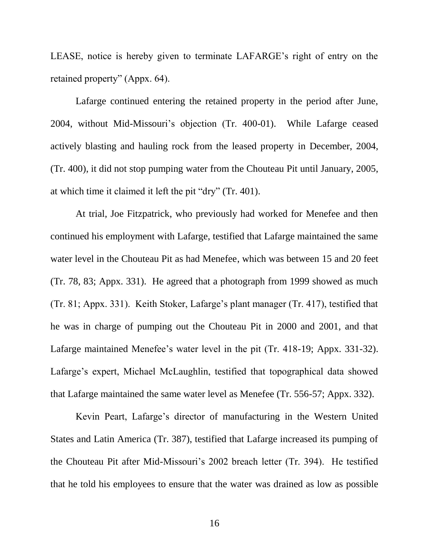LEASE, notice is hereby given to terminate LAFARGE"s right of entry on the retained property" (Appx. 64).

Lafarge continued entering the retained property in the period after June, 2004, without Mid-Missouri"s objection (Tr. 400-01). While Lafarge ceased actively blasting and hauling rock from the leased property in December, 2004, (Tr. 400), it did not stop pumping water from the Chouteau Pit until January, 2005, at which time it claimed it left the pit "dry" (Tr. 401).

At trial, Joe Fitzpatrick, who previously had worked for Menefee and then continued his employment with Lafarge, testified that Lafarge maintained the same water level in the Chouteau Pit as had Menefee, which was between 15 and 20 feet (Tr. 78, 83; Appx. 331). He agreed that a photograph from 1999 showed as much (Tr. 81; Appx. 331). Keith Stoker, Lafarge"s plant manager (Tr. 417), testified that he was in charge of pumping out the Chouteau Pit in 2000 and 2001, and that Lafarge maintained Menefee's water level in the pit (Tr. 418-19; Appx. 331-32). Lafarge's expert, Michael McLaughlin, testified that topographical data showed that Lafarge maintained the same water level as Menefee (Tr. 556-57; Appx. 332).

Kevin Peart, Lafarge"s director of manufacturing in the Western United States and Latin America (Tr. 387), testified that Lafarge increased its pumping of the Chouteau Pit after Mid-Missouri's 2002 breach letter (Tr. 394). He testified that he told his employees to ensure that the water was drained as low as possible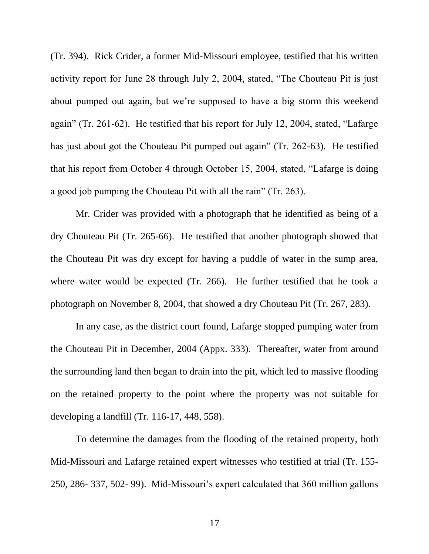(Tr. 394). Rick Crider, a former Mid-Missouri employee, testified that his written activity report for June 28 through July 2, 2004, stated, "The Chouteau Pit is just about pumped out again, but we"re supposed to have a big storm this weekend again" (Tr. 261-62). He testified that his report for July 12, 2004, stated, "Lafarge has just about got the Chouteau Pit pumped out again" (Tr. 262-63). He testified that his report from October 4 through October 15, 2004, stated, "Lafarge is doing a good job pumping the Chouteau Pit with all the rain" (Tr. 263).

Mr. Crider was provided with a photograph that he identified as being of a dry Chouteau Pit (Tr. 265-66). He testified that another photograph showed that the Chouteau Pit was dry except for having a puddle of water in the sump area, where water would be expected (Tr. 266). He further testified that he took a photograph on November 8, 2004, that showed a dry Chouteau Pit (Tr. 267, 283).

In any case, as the district court found, Lafarge stopped pumping water from the Chouteau Pit in December, 2004 (Appx. 333). Thereafter, water from around the surrounding land then began to drain into the pit, which led to massive flooding on the retained property to the point where the property was not suitable for developing a landfill (Tr. 116-17, 448, 558).

To determine the damages from the flooding of the retained property, both Mid-Missouri and Lafarge retained expert witnesses who testified at trial (Tr. 155- 250, 286- 337, 502- 99). Mid-Missouri"s expert calculated that 360 million gallons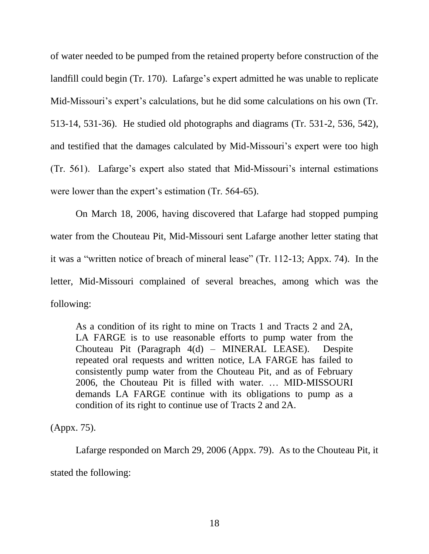of water needed to be pumped from the retained property before construction of the landfill could begin (Tr. 170). Lafarge's expert admitted he was unable to replicate Mid-Missouri's expert's calculations, but he did some calculations on his own (Tr. 513-14, 531-36). He studied old photographs and diagrams (Tr. 531-2, 536, 542), and testified that the damages calculated by Mid-Missouri's expert were too high (Tr. 561). Lafarge"s expert also stated that Mid-Missouri"s internal estimations were lower than the expert's estimation (Tr. 564-65).

On March 18, 2006, having discovered that Lafarge had stopped pumping water from the Chouteau Pit, Mid-Missouri sent Lafarge another letter stating that it was a "written notice of breach of mineral lease" (Tr. 112-13; Appx. 74). In the letter, Mid-Missouri complained of several breaches, among which was the following:

As a condition of its right to mine on Tracts 1 and Tracts 2 and 2A, LA FARGE is to use reasonable efforts to pump water from the Chouteau Pit (Paragraph 4(d) – MINERAL LEASE). Despite repeated oral requests and written notice, LA FARGE has failed to consistently pump water from the Chouteau Pit, and as of February 2006, the Chouteau Pit is filled with water. … MID-MISSOURI demands LA FARGE continue with its obligations to pump as a condition of its right to continue use of Tracts 2 and 2A.

(Appx. 75).

Lafarge responded on March 29, 2006 (Appx. 79). As to the Chouteau Pit, it stated the following: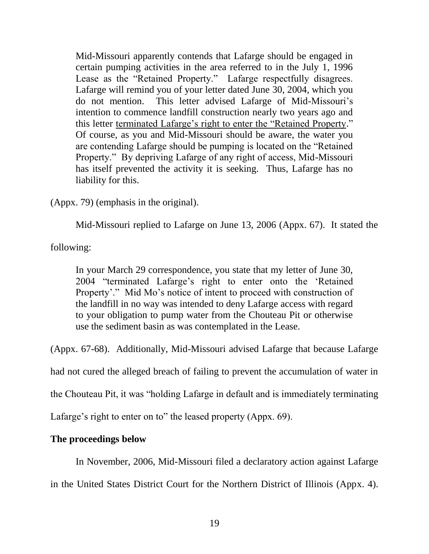Mid-Missouri apparently contends that Lafarge should be engaged in certain pumping activities in the area referred to in the July 1, 1996 Lease as the "Retained Property." Lafarge respectfully disagrees. Lafarge will remind you of your letter dated June 30, 2004, which you do not mention. This letter advised Lafarge of Mid-Missouri's intention to commence landfill construction nearly two years ago and this letter terminated Lafarge's right to enter the "Retained Property." Of course, as you and Mid-Missouri should be aware, the water you are contending Lafarge should be pumping is located on the "Retained Property." By depriving Lafarge of any right of access, Mid-Missouri has itself prevented the activity it is seeking. Thus, Lafarge has no liability for this.

(Appx. 79) (emphasis in the original).

Mid-Missouri replied to Lafarge on June 13, 2006 (Appx. 67). It stated the

following:

In your March 29 correspondence, you state that my letter of June 30, 2004 "terminated Lafarge"s right to enter onto the "Retained Property'." Mid Mo's notice of intent to proceed with construction of the landfill in no way was intended to deny Lafarge access with regard to your obligation to pump water from the Chouteau Pit or otherwise use the sediment basin as was contemplated in the Lease.

(Appx. 67-68). Additionally, Mid-Missouri advised Lafarge that because Lafarge

had not cured the alleged breach of failing to prevent the accumulation of water in

the Chouteau Pit, it was "holding Lafarge in default and is immediately terminating

Lafarge's right to enter on to" the leased property (Appx. 69).

## **The proceedings below**

In November, 2006, Mid-Missouri filed a declaratory action against Lafarge

in the United States District Court for the Northern District of Illinois (Appx. 4).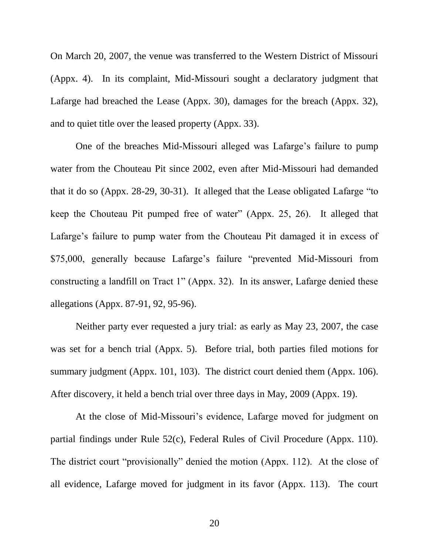On March 20, 2007, the venue was transferred to the Western District of Missouri (Appx. 4). In its complaint, Mid-Missouri sought a declaratory judgment that Lafarge had breached the Lease (Appx. 30), damages for the breach (Appx. 32), and to quiet title over the leased property (Appx. 33).

One of the breaches Mid-Missouri alleged was Lafarge's failure to pump water from the Chouteau Pit since 2002, even after Mid-Missouri had demanded that it do so (Appx. 28-29, 30-31). It alleged that the Lease obligated Lafarge "to keep the Chouteau Pit pumped free of water" (Appx. 25, 26). It alleged that Lafarge's failure to pump water from the Chouteau Pit damaged it in excess of \$75,000, generally because Lafarge's failure "prevented Mid-Missouri from constructing a landfill on Tract 1" (Appx. 32). In its answer, Lafarge denied these allegations (Appx. 87-91, 92, 95-96).

Neither party ever requested a jury trial: as early as May 23, 2007, the case was set for a bench trial (Appx. 5). Before trial, both parties filed motions for summary judgment (Appx. 101, 103). The district court denied them (Appx. 106). After discovery, it held a bench trial over three days in May, 2009 (Appx. 19).

At the close of Mid-Missouri's evidence, Lafarge moved for judgment on partial findings under Rule 52(c), Federal Rules of Civil Procedure (Appx. 110). The district court "provisionally" denied the motion (Appx. 112). At the close of all evidence, Lafarge moved for judgment in its favor (Appx. 113). The court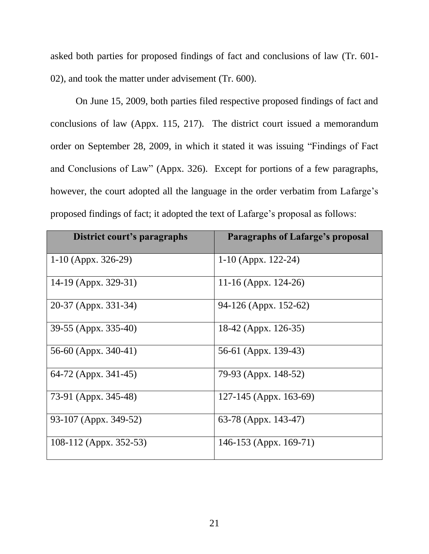asked both parties for proposed findings of fact and conclusions of law (Tr. 601- 02), and took the matter under advisement (Tr. 600).

On June 15, 2009, both parties filed respective proposed findings of fact and conclusions of law (Appx. 115, 217). The district court issued a memorandum order on September 28, 2009, in which it stated it was issuing "Findings of Fact and Conclusions of Law" (Appx. 326). Except for portions of a few paragraphs, however, the court adopted all the language in the order verbatim from Lafarge's proposed findings of fact; it adopted the text of Lafarge"s proposal as follows:

| District court's paragraphs | <b>Paragraphs of Lafarge's proposal</b> |
|-----------------------------|-----------------------------------------|
| $1-10$ (Appx. 326-29)       | $1-10$ (Appx. 122-24)                   |
| 14-19 (Appx. 329-31)        | 11-16 (Appx. 124-26)                    |
| 20-37 (Appx. 331-34)        | 94-126 (Appx. 152-62)                   |
| 39-55 (Appx. 335-40)        | 18-42 (Appx. 126-35)                    |
| 56-60 (Appx. 340-41)        | 56-61 (Appx. 139-43)                    |
| 64-72 (Appx. 341-45)        | 79-93 (Appx. 148-52)                    |
| 73-91 (Appx. 345-48)        | 127-145 (Appx. 163-69)                  |
| 93-107 (Appx. 349-52)       | 63-78 (Appx. 143-47)                    |
| 108-112 (Appx. 352-53)      | 146-153 (Appx. 169-71)                  |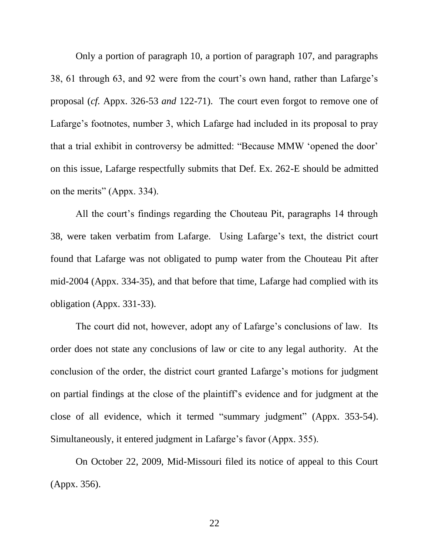Only a portion of paragraph 10, a portion of paragraph 107, and paragraphs 38, 61 through 63, and 92 were from the court's own hand, rather than Lafarge's proposal (*cf.* Appx. 326-53 *and* 122-71). The court even forgot to remove one of Lafarge's footnotes, number 3, which Lafarge had included in its proposal to pray that a trial exhibit in controversy be admitted: "Because MMW "opened the door" on this issue, Lafarge respectfully submits that Def. Ex. 262-E should be admitted on the merits" (Appx. 334).

All the court's findings regarding the Chouteau Pit, paragraphs 14 through 38, were taken verbatim from Lafarge. Using Lafarge"s text, the district court found that Lafarge was not obligated to pump water from the Chouteau Pit after mid-2004 (Appx. 334-35), and that before that time, Lafarge had complied with its obligation (Appx. 331-33).

The court did not, however, adopt any of Lafarge's conclusions of law. Its order does not state any conclusions of law or cite to any legal authority. At the conclusion of the order, the district court granted Lafarge's motions for judgment on partial findings at the close of the plaintiff"s evidence and for judgment at the close of all evidence, which it termed "summary judgment" (Appx. 353-54). Simultaneously, it entered judgment in Lafarge's favor (Appx. 355).

On October 22, 2009, Mid-Missouri filed its notice of appeal to this Court (Appx. 356).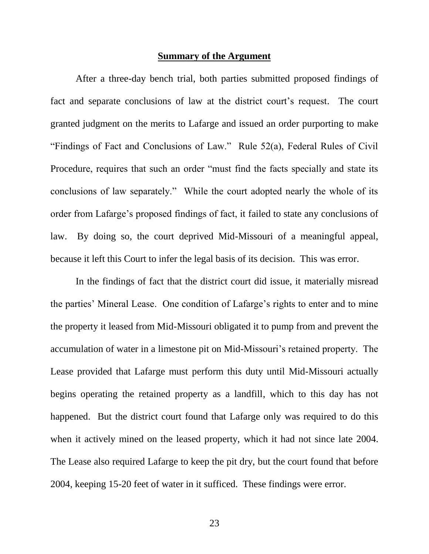#### **Summary of the Argument**

After a three-day bench trial, both parties submitted proposed findings of fact and separate conclusions of law at the district court's request. The court granted judgment on the merits to Lafarge and issued an order purporting to make "Findings of Fact and Conclusions of Law." Rule 52(a), Federal Rules of Civil Procedure, requires that such an order "must find the facts specially and state its conclusions of law separately." While the court adopted nearly the whole of its order from Lafarge"s proposed findings of fact, it failed to state any conclusions of law. By doing so, the court deprived Mid-Missouri of a meaningful appeal, because it left this Court to infer the legal basis of its decision. This was error.

In the findings of fact that the district court did issue, it materially misread the parties' Mineral Lease. One condition of Lafarge's rights to enter and to mine the property it leased from Mid-Missouri obligated it to pump from and prevent the accumulation of water in a limestone pit on Mid-Missouri's retained property. The Lease provided that Lafarge must perform this duty until Mid-Missouri actually begins operating the retained property as a landfill, which to this day has not happened. But the district court found that Lafarge only was required to do this when it actively mined on the leased property, which it had not since late 2004. The Lease also required Lafarge to keep the pit dry, but the court found that before 2004, keeping 15-20 feet of water in it sufficed. These findings were error.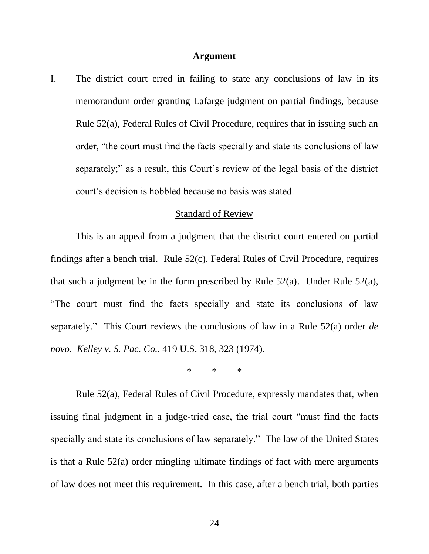#### **Argument**

I. The district court erred in failing to state any conclusions of law in its memorandum order granting Lafarge judgment on partial findings, because Rule 52(a), Federal Rules of Civil Procedure, requires that in issuing such an order, "the court must find the facts specially and state its conclusions of law separately;" as a result, this Court's review of the legal basis of the district court"s decision is hobbled because no basis was stated.

#### Standard of Review

This is an appeal from a judgment that the district court entered on partial findings after a bench trial. Rule 52(c), Federal Rules of Civil Procedure, requires that such a judgment be in the form prescribed by Rule 52(a). Under Rule 52(a), "The court must find the facts specially and state its conclusions of law separately." This Court reviews the conclusions of law in a Rule 52(a) order *de novo*. *Kelley v. S. Pac. Co.*, 419 U.S. 318, 323 (1974).

\* \* \*

Rule 52(a), Federal Rules of Civil Procedure, expressly mandates that, when issuing final judgment in a judge-tried case, the trial court "must find the facts specially and state its conclusions of law separately." The law of the United States is that a Rule 52(a) order mingling ultimate findings of fact with mere arguments of law does not meet this requirement. In this case, after a bench trial, both parties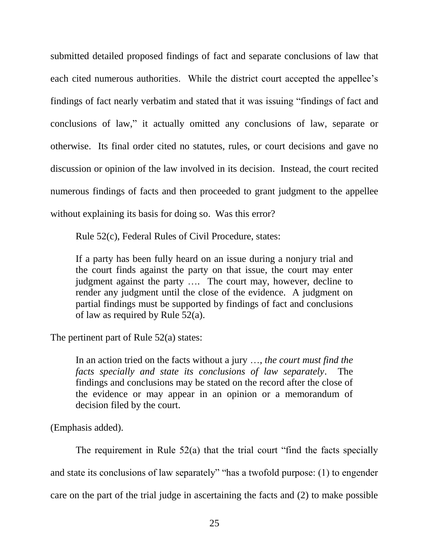submitted detailed proposed findings of fact and separate conclusions of law that each cited numerous authorities. While the district court accepted the appellee's findings of fact nearly verbatim and stated that it was issuing "findings of fact and conclusions of law," it actually omitted any conclusions of law, separate or otherwise. Its final order cited no statutes, rules, or court decisions and gave no discussion or opinion of the law involved in its decision. Instead, the court recited numerous findings of facts and then proceeded to grant judgment to the appellee without explaining its basis for doing so. Was this error?

Rule 52(c), Federal Rules of Civil Procedure, states:

If a party has been fully heard on an issue during a nonjury trial and the court finds against the party on that issue, the court may enter judgment against the party …. The court may, however, decline to render any judgment until the close of the evidence. A judgment on partial findings must be supported by findings of fact and conclusions of law as required by Rule 52(a).

The pertinent part of Rule 52(a) states:

In an action tried on the facts without a jury …, *the court must find the facts specially and state its conclusions of law separately*. The findings and conclusions may be stated on the record after the close of the evidence or may appear in an opinion or a memorandum of decision filed by the court.

(Emphasis added).

The requirement in Rule 52(a) that the trial court "find the facts specially and state its conclusions of law separately" "has a twofold purpose: (1) to engender care on the part of the trial judge in ascertaining the facts and (2) to make possible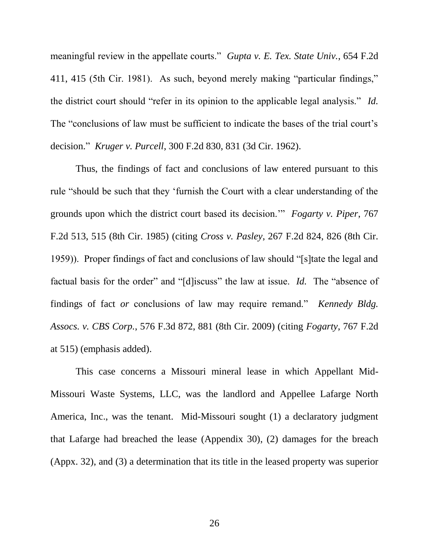meaningful review in the appellate courts." *Gupta v. E. Tex. State Univ.*, 654 F.2d 411, 415 (5th Cir. 1981). As such, beyond merely making "particular findings," the district court should "refer in its opinion to the applicable legal analysis." *Id.* The "conclusions of law must be sufficient to indicate the bases of the trial court's decision." *Kruger v. Purcell*, 300 F.2d 830, 831 (3d Cir. 1962).

Thus, the findings of fact and conclusions of law entered pursuant to this rule "should be such that they "furnish the Court with a clear understanding of the grounds upon which the district court based its decision."" *Fogarty v. Piper*, 767 F.2d 513, 515 (8th Cir. 1985) (citing *Cross v. Pasley*, 267 F.2d 824, 826 (8th Cir. 1959)). Proper findings of fact and conclusions of law should "[s]tate the legal and factual basis for the order" and "[d]iscuss" the law at issue. *Id.* The "absence of findings of fact *or* conclusions of law may require remand." *Kennedy Bldg. Assocs. v. CBS Corp.*, 576 F.3d 872, 881 (8th Cir. 2009) (citing *Fogarty*, 767 F.2d at 515) (emphasis added).

This case concerns a Missouri mineral lease in which Appellant Mid-Missouri Waste Systems, LLC, was the landlord and Appellee Lafarge North America, Inc., was the tenant. Mid-Missouri sought (1) a declaratory judgment that Lafarge had breached the lease (Appendix 30), (2) damages for the breach (Appx. 32), and (3) a determination that its title in the leased property was superior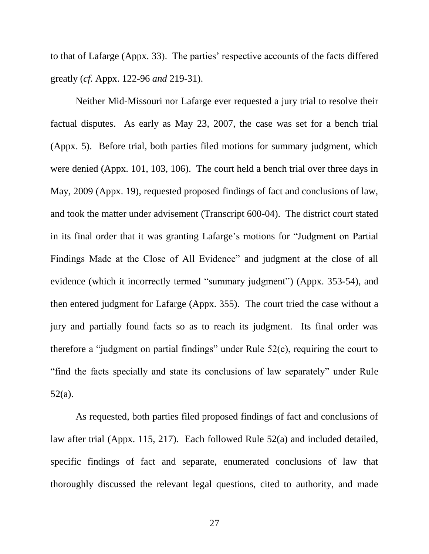to that of Lafarge (Appx. 33). The parties' respective accounts of the facts differed greatly (*cf.* Appx. 122-96 *and* 219-31).

Neither Mid-Missouri nor Lafarge ever requested a jury trial to resolve their factual disputes. As early as May 23, 2007, the case was set for a bench trial (Appx. 5). Before trial, both parties filed motions for summary judgment, which were denied (Appx. 101, 103, 106). The court held a bench trial over three days in May, 2009 (Appx. 19), requested proposed findings of fact and conclusions of law, and took the matter under advisement (Transcript 600-04). The district court stated in its final order that it was granting Lafarge"s motions for "Judgment on Partial Findings Made at the Close of All Evidence" and judgment at the close of all evidence (which it incorrectly termed "summary judgment") (Appx. 353-54), and then entered judgment for Lafarge (Appx. 355). The court tried the case without a jury and partially found facts so as to reach its judgment. Its final order was therefore a "judgment on partial findings" under Rule 52(c), requiring the court to "find the facts specially and state its conclusions of law separately" under Rule 52(a).

As requested, both parties filed proposed findings of fact and conclusions of law after trial (Appx. 115, 217). Each followed Rule 52(a) and included detailed, specific findings of fact and separate, enumerated conclusions of law that thoroughly discussed the relevant legal questions, cited to authority, and made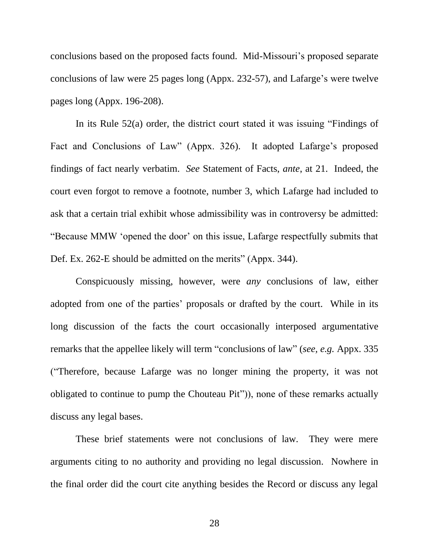conclusions based on the proposed facts found. Mid-Missouri's proposed separate conclusions of law were 25 pages long (Appx. 232-57), and Lafarge's were twelve pages long (Appx. 196-208).

In its Rule 52(a) order, the district court stated it was issuing "Findings of Fact and Conclusions of Law" (Appx. 326). It adopted Lafarge's proposed findings of fact nearly verbatim. *See* Statement of Facts, *ante*, at 21. Indeed, the court even forgot to remove a footnote, number 3, which Lafarge had included to ask that a certain trial exhibit whose admissibility was in controversy be admitted: "Because MMW "opened the door" on this issue, Lafarge respectfully submits that Def. Ex. 262-E should be admitted on the merits" (Appx. 344).

Conspicuously missing, however, were *any* conclusions of law, either adopted from one of the parties' proposals or drafted by the court. While in its long discussion of the facts the court occasionally interposed argumentative remarks that the appellee likely will term "conclusions of law" (*see, e.g.* Appx. 335 ("Therefore, because Lafarge was no longer mining the property, it was not obligated to continue to pump the Chouteau Pit")), none of these remarks actually discuss any legal bases.

These brief statements were not conclusions of law. They were mere arguments citing to no authority and providing no legal discussion. Nowhere in the final order did the court cite anything besides the Record or discuss any legal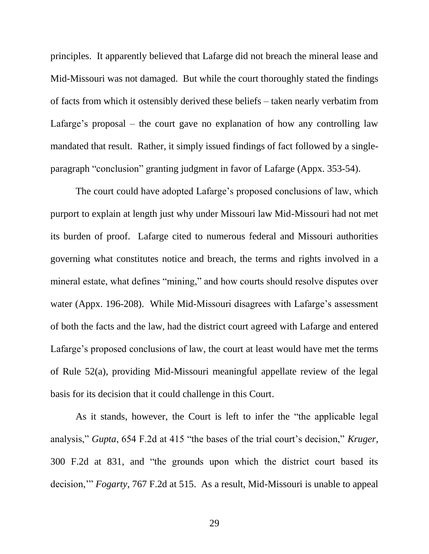principles. It apparently believed that Lafarge did not breach the mineral lease and Mid-Missouri was not damaged. But while the court thoroughly stated the findings of facts from which it ostensibly derived these beliefs – taken nearly verbatim from Lafarge's proposal – the court gave no explanation of how any controlling law mandated that result. Rather, it simply issued findings of fact followed by a singleparagraph "conclusion" granting judgment in favor of Lafarge (Appx. 353-54).

The court could have adopted Lafarge's proposed conclusions of law, which purport to explain at length just why under Missouri law Mid-Missouri had not met its burden of proof. Lafarge cited to numerous federal and Missouri authorities governing what constitutes notice and breach, the terms and rights involved in a mineral estate, what defines "mining," and how courts should resolve disputes over water (Appx. 196-208). While Mid-Missouri disagrees with Lafarge's assessment of both the facts and the law, had the district court agreed with Lafarge and entered Lafarge's proposed conclusions of law, the court at least would have met the terms of Rule 52(a), providing Mid-Missouri meaningful appellate review of the legal basis for its decision that it could challenge in this Court.

As it stands, however, the Court is left to infer the "the applicable legal analysis," *Gupta*, 654 F.2d at 415 "the bases of the trial court's decision," *Kruger*, 300 F.2d at 831, and "the grounds upon which the district court based its decision,"" *Fogarty*, 767 F.2d at 515. As a result, Mid-Missouri is unable to appeal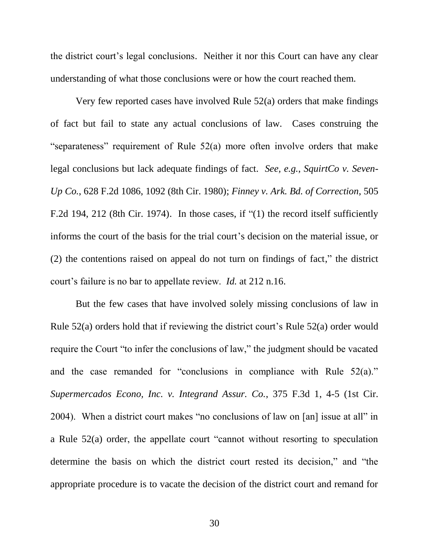the district court"s legal conclusions. Neither it nor this Court can have any clear understanding of what those conclusions were or how the court reached them.

Very few reported cases have involved Rule 52(a) orders that make findings of fact but fail to state any actual conclusions of law. Cases construing the "separateness" requirement of Rule 52(a) more often involve orders that make legal conclusions but lack adequate findings of fact. *See, e.g.*, *SquirtCo v. Seven-Up Co.*, 628 F.2d 1086, 1092 (8th Cir. 1980); *Finney v. Ark. Bd. of Correction*, 505 F.2d 194, 212 (8th Cir. 1974). In those cases, if "(1) the record itself sufficiently informs the court of the basis for the trial court's decision on the material issue, or (2) the contentions raised on appeal do not turn on findings of fact," the district court"s failure is no bar to appellate review. *Id.* at 212 n.16.

But the few cases that have involved solely missing conclusions of law in Rule  $52(a)$  orders hold that if reviewing the district court's Rule  $52(a)$  order would require the Court "to infer the conclusions of law," the judgment should be vacated and the case remanded for "conclusions in compliance with Rule  $52(a)$ ." *Supermercados Econo, Inc. v. Integrand Assur. Co.*, 375 F.3d 1, 4-5 (1st Cir. 2004). When a district court makes "no conclusions of law on [an] issue at all" in a Rule 52(a) order, the appellate court "cannot without resorting to speculation determine the basis on which the district court rested its decision," and "the appropriate procedure is to vacate the decision of the district court and remand for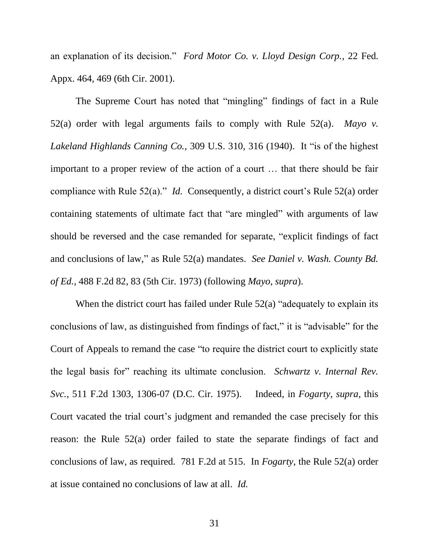an explanation of its decision." *Ford Motor Co. v. Lloyd Design Corp.*, 22 Fed. Appx. 464, 469 (6th Cir. 2001).

The Supreme Court has noted that "mingling" findings of fact in a Rule 52(a) order with legal arguments fails to comply with Rule 52(a). *Mayo v. Lakeland Highlands Canning Co.*, 309 U.S. 310, 316 (1940). It "is of the highest important to a proper review of the action of a court … that there should be fair compliance with Rule 52(a)." *Id.* Consequently, a district court's Rule 52(a) order containing statements of ultimate fact that "are mingled" with arguments of law should be reversed and the case remanded for separate, "explicit findings of fact and conclusions of law," as Rule 52(a) mandates. *See Daniel v. Wash. County Bd. of Ed.*, 488 F.2d 82, 83 (5th Cir. 1973) (following *Mayo*, *supra*).

When the district court has failed under Rule 52(a) "adequately to explain its conclusions of law, as distinguished from findings of fact," it is "advisable" for the Court of Appeals to remand the case "to require the district court to explicitly state the legal basis for" reaching its ultimate conclusion. *Schwartz v. Internal Rev. Svc.*, 511 F.2d 1303, 1306-07 (D.C. Cir. 1975). Indeed, in *Fogarty*, *supra*, this Court vacated the trial court's judgment and remanded the case precisely for this reason: the Rule 52(a) order failed to state the separate findings of fact and conclusions of law, as required. 781 F.2d at 515. In *Fogarty*, the Rule 52(a) order at issue contained no conclusions of law at all. *Id.*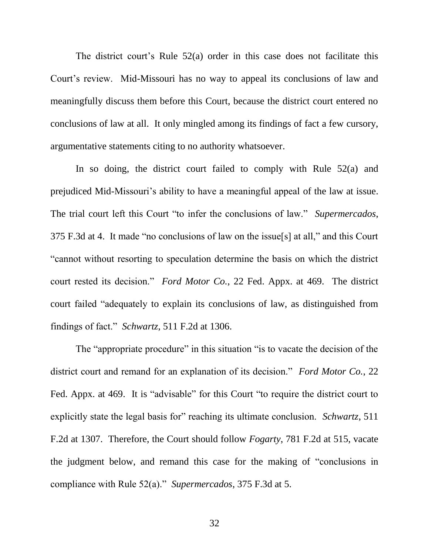The district court's Rule  $52(a)$  order in this case does not facilitate this Court"s review. Mid-Missouri has no way to appeal its conclusions of law and meaningfully discuss them before this Court, because the district court entered no conclusions of law at all. It only mingled among its findings of fact a few cursory, argumentative statements citing to no authority whatsoever.

In so doing, the district court failed to comply with Rule 52(a) and prejudiced Mid-Missouri"s ability to have a meaningful appeal of the law at issue. The trial court left this Court "to infer the conclusions of law." *Supermercados*, 375 F.3d at 4. It made "no conclusions of law on the issue[s] at all," and this Court "cannot without resorting to speculation determine the basis on which the district court rested its decision." *Ford Motor Co.*, 22 Fed. Appx. at 469. The district court failed "adequately to explain its conclusions of law, as distinguished from findings of fact." *Schwartz*, 511 F.2d at 1306.

The "appropriate procedure" in this situation "is to vacate the decision of the district court and remand for an explanation of its decision." *Ford Motor Co.*, 22 Fed. Appx. at 469. It is "advisable" for this Court "to require the district court to explicitly state the legal basis for" reaching its ultimate conclusion. *Schwartz*, 511 F.2d at 1307. Therefore, the Court should follow *Fogarty*, 781 F.2d at 515, vacate the judgment below, and remand this case for the making of "conclusions in compliance with Rule 52(a)." *Supermercados*, 375 F.3d at 5.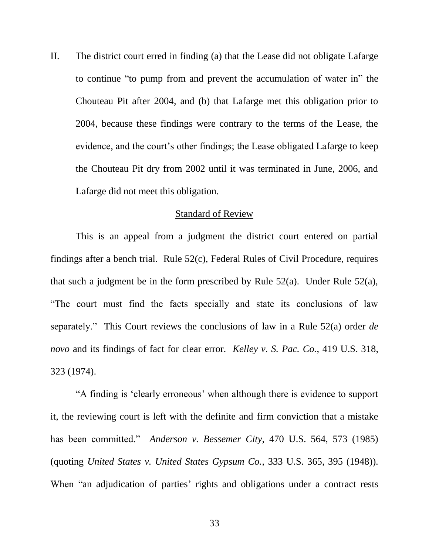II. The district court erred in finding (a) that the Lease did not obligate Lafarge to continue "to pump from and prevent the accumulation of water in" the Chouteau Pit after 2004, and (b) that Lafarge met this obligation prior to 2004, because these findings were contrary to the terms of the Lease, the evidence, and the court's other findings; the Lease obligated Lafarge to keep the Chouteau Pit dry from 2002 until it was terminated in June, 2006, and Lafarge did not meet this obligation.

#### Standard of Review

This is an appeal from a judgment the district court entered on partial findings after a bench trial. Rule 52(c), Federal Rules of Civil Procedure, requires that such a judgment be in the form prescribed by Rule 52(a). Under Rule 52(a), "The court must find the facts specially and state its conclusions of law separately." This Court reviews the conclusions of law in a Rule 52(a) order *de novo* and its findings of fact for clear error. *Kelley v. S. Pac. Co.*, 419 U.S. 318, 323 (1974).

"A finding is "clearly erroneous" when although there is evidence to support it, the reviewing court is left with the definite and firm conviction that a mistake has been committed." *Anderson v. Bessemer City*, 470 U.S. 564, 573 (1985) (quoting *United States v. United States Gypsum Co.*, 333 U.S. 365, 395 (1948)). When "an adjudication of parties' rights and obligations under a contract rests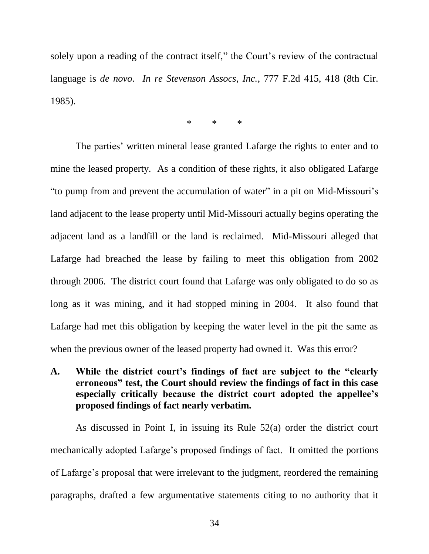solely upon a reading of the contract itself," the Court's review of the contractual language is *de novo*. *In re Stevenson Assocs, Inc.*, 777 F.2d 415, 418 (8th Cir. 1985).

\* \* \*

The parties' written mineral lease granted Lafarge the rights to enter and to mine the leased property. As a condition of these rights, it also obligated Lafarge "to pump from and prevent the accumulation of water" in a pit on Mid-Missouri"s land adjacent to the lease property until Mid-Missouri actually begins operating the adjacent land as a landfill or the land is reclaimed. Mid-Missouri alleged that Lafarge had breached the lease by failing to meet this obligation from 2002 through 2006. The district court found that Lafarge was only obligated to do so as long as it was mining, and it had stopped mining in 2004. It also found that Lafarge had met this obligation by keeping the water level in the pit the same as when the previous owner of the leased property had owned it. Was this error?

## **A. While the district court's findings of fact are subject to the "clearly erroneous" test, the Court should review the findings of fact in this case especially critically because the district court adopted the appellee's proposed findings of fact nearly verbatim.**

As discussed in Point I, in issuing its Rule 52(a) order the district court mechanically adopted Lafarge"s proposed findings of fact. It omitted the portions of Lafarge"s proposal that were irrelevant to the judgment, reordered the remaining paragraphs, drafted a few argumentative statements citing to no authority that it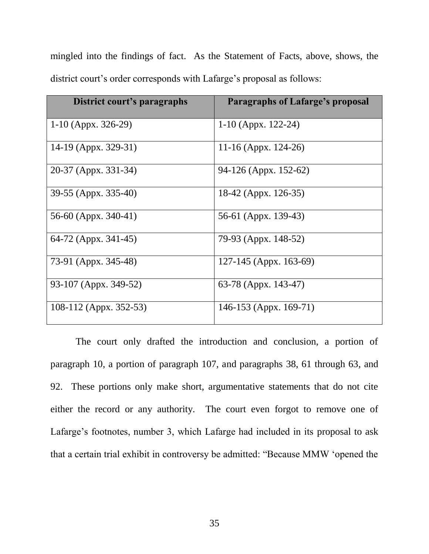mingled into the findings of fact. As the Statement of Facts, above, shows, the district court's order corresponds with Lafarge's proposal as follows:

| District court's paragraphs | Paragraphs of Lafarge's proposal |
|-----------------------------|----------------------------------|
| 1-10 (Appx. $326-29$ )      | 1-10 (Appx. 122-24)              |
| 14-19 (Appx. 329-31)        | 11-16 (Appx. 124-26)             |
| 20-37 (Appx. 331-34)        | 94-126 (Appx. 152-62)            |
| 39-55 (Appx. 335-40)        | 18-42 (Appx. 126-35)             |
| 56-60 (Appx. 340-41)        | 56-61 (Appx. 139-43)             |
| 64-72 (Appx. 341-45)        | 79-93 (Appx. 148-52)             |
| 73-91 (Appx. 345-48)        | $127-145$ (Appx. 163-69)         |
| 93-107 (Appx. 349-52)       | 63-78 (Appx. 143-47)             |
| 108-112 (Appx. 352-53)      | 146-153 (Appx. 169-71)           |

The court only drafted the introduction and conclusion, a portion of paragraph 10, a portion of paragraph 107, and paragraphs 38, 61 through 63, and 92. These portions only make short, argumentative statements that do not cite either the record or any authority. The court even forgot to remove one of Lafarge's footnotes, number 3, which Lafarge had included in its proposal to ask that a certain trial exhibit in controversy be admitted: "Because MMW "opened the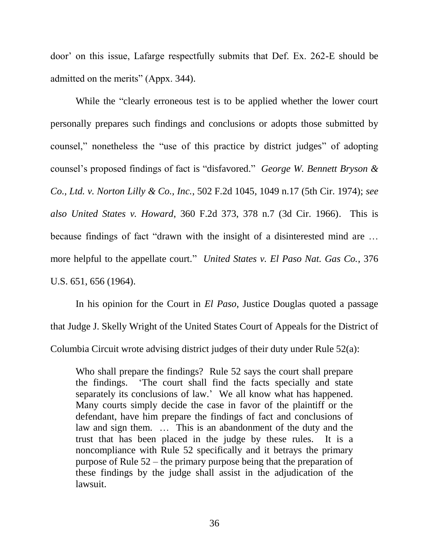door" on this issue, Lafarge respectfully submits that Def. Ex. 262-E should be admitted on the merits" (Appx. 344).

While the "clearly erroneous test is to be applied whether the lower court personally prepares such findings and conclusions or adopts those submitted by counsel," nonetheless the "use of this practice by district judges" of adopting counsel"s proposed findings of fact is "disfavored." *George W. Bennett Bryson & Co., Ltd. v. Norton Lilly & Co., Inc.*, 502 F.2d 1045, 1049 n.17 (5th Cir. 1974); *see also United States v. Howard*, 360 F.2d 373, 378 n.7 (3d Cir. 1966). This is because findings of fact "drawn with the insight of a disinterested mind are … more helpful to the appellate court." *United States v. El Paso Nat. Gas Co.*, 376 U.S. 651, 656 (1964).

In his opinion for the Court in *El Paso*, Justice Douglas quoted a passage that Judge J. Skelly Wright of the United States Court of Appeals for the District of Columbia Circuit wrote advising district judges of their duty under Rule 52(a):

Who shall prepare the findings? Rule 52 says the court shall prepare the findings. "The court shall find the facts specially and state separately its conclusions of law." We all know what has happened. Many courts simply decide the case in favor of the plaintiff or the defendant, have him prepare the findings of fact and conclusions of law and sign them. ... This is an abandonment of the duty and the trust that has been placed in the judge by these rules. It is a noncompliance with Rule 52 specifically and it betrays the primary purpose of Rule 52 – the primary purpose being that the preparation of these findings by the judge shall assist in the adjudication of the lawsuit.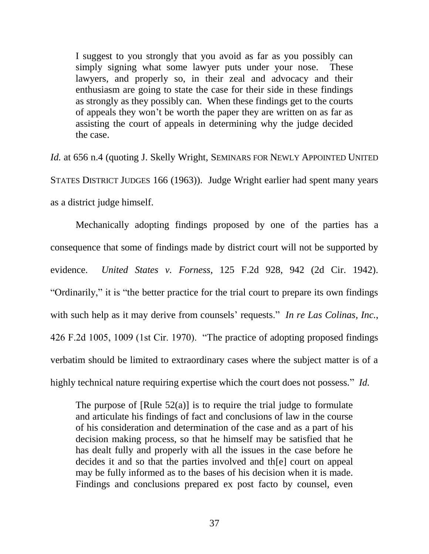I suggest to you strongly that you avoid as far as you possibly can simply signing what some lawyer puts under your nose. These lawyers, and properly so, in their zeal and advocacy and their enthusiasm are going to state the case for their side in these findings as strongly as they possibly can. When these findings get to the courts of appeals they won"t be worth the paper they are written on as far as assisting the court of appeals in determining why the judge decided the case.

*Id.* at 656 n.4 (quoting J. Skelly Wright, SEMINARS FOR NEWLY APPOINTED UNITED STATES DISTRICT JUDGES 166 (1963)). Judge Wright earlier had spent many years as a district judge himself.

Mechanically adopting findings proposed by one of the parties has a consequence that some of findings made by district court will not be supported by evidence. *United States v. Forness*, 125 F.2d 928, 942 (2d Cir. 1942). "Ordinarily," it is "the better practice for the trial court to prepare its own findings with such help as it may derive from counsels' requests." *In re Las Colinas, Inc.*, 426 F.2d 1005, 1009 (1st Cir. 1970). "The practice of adopting proposed findings verbatim should be limited to extraordinary cases where the subject matter is of a highly technical nature requiring expertise which the court does not possess." *Id.*

The purpose of  $[Rule 52(a)]$  is to require the trial judge to formulate and articulate his findings of fact and conclusions of law in the course of his consideration and determination of the case and as a part of his decision making process, so that he himself may be satisfied that he has dealt fully and properly with all the issues in the case before he decides it and so that the parties involved and th[e] court on appeal may be fully informed as to the bases of his decision when it is made. Findings and conclusions prepared ex post facto by counsel, even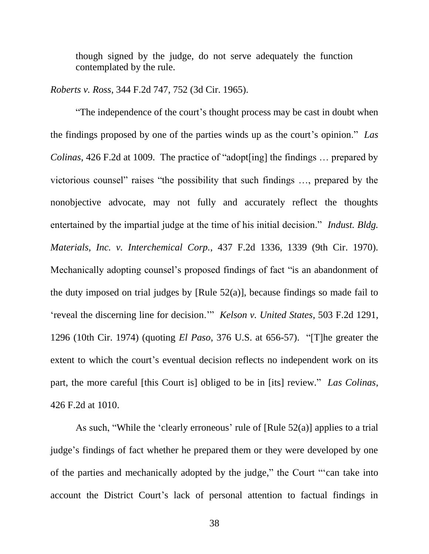though signed by the judge, do not serve adequately the function contemplated by the rule.

*Roberts v. Ross*, 344 F.2d 747, 752 (3d Cir. 1965).

"The independence of the court's thought process may be cast in doubt when the findings proposed by one of the parties winds up as the court"s opinion." *Las Colinas*, 426 F.2d at 1009. The practice of "adopt[ing] the findings … prepared by victorious counsel" raises "the possibility that such findings …, prepared by the nonobjective advocate, may not fully and accurately reflect the thoughts entertained by the impartial judge at the time of his initial decision." *Indust. Bldg. Materials, Inc. v. Interchemical Corp.*, 437 F.2d 1336, 1339 (9th Cir. 1970). Mechanically adopting counsel"s proposed findings of fact "is an abandonment of the duty imposed on trial judges by [Rule  $52(a)$ ], because findings so made fail to "reveal the discerning line for decision."" *Kelson v. United States*, 503 F.2d 1291, 1296 (10th Cir. 1974) (quoting *El Paso*, 376 U.S. at 656-57). "[T]he greater the extent to which the court's eventual decision reflects no independent work on its part, the more careful [this Court is] obliged to be in [its] review." *Las Colinas*, 426 F.2d at 1010.

As such, "While the 'clearly erroneous' rule of  $[Rule 52(a)]$  applies to a trial judge"s findings of fact whether he prepared them or they were developed by one of the parties and mechanically adopted by the judge," the Court ""can take into account the District Court's lack of personal attention to factual findings in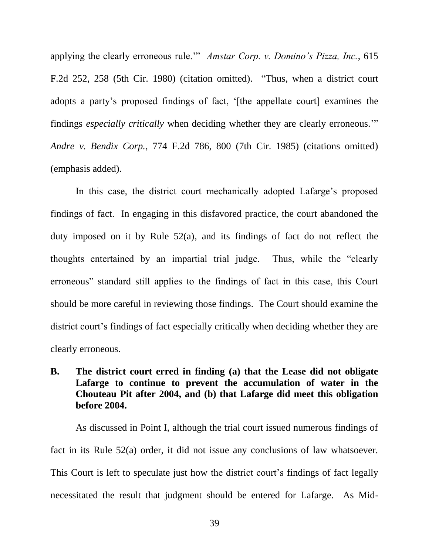applying the clearly erroneous rule."" *Amstar Corp. v. Domino's Pizza, Inc.*, 615 F.2d 252, 258 (5th Cir. 1980) (citation omitted). "Thus, when a district court adopts a party"s proposed findings of fact, "[the appellate court] examines the findings *especially critically* when deciding whether they are clearly erroneous."" *Andre v. Bendix Corp.*, 774 F.2d 786, 800 (7th Cir. 1985) (citations omitted) (emphasis added).

In this case, the district court mechanically adopted Lafarge's proposed findings of fact. In engaging in this disfavored practice, the court abandoned the duty imposed on it by Rule 52(a), and its findings of fact do not reflect the thoughts entertained by an impartial trial judge. Thus, while the "clearly erroneous" standard still applies to the findings of fact in this case, this Court should be more careful in reviewing those findings. The Court should examine the district court's findings of fact especially critically when deciding whether they are clearly erroneous.

# **B. The district court erred in finding (a) that the Lease did not obligate Lafarge to continue to prevent the accumulation of water in the Chouteau Pit after 2004, and (b) that Lafarge did meet this obligation before 2004.**

As discussed in Point I, although the trial court issued numerous findings of fact in its Rule 52(a) order, it did not issue any conclusions of law whatsoever. This Court is left to speculate just how the district court's findings of fact legally necessitated the result that judgment should be entered for Lafarge. As Mid-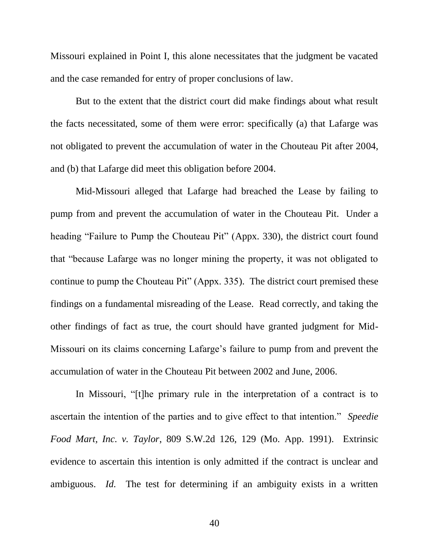Missouri explained in Point I, this alone necessitates that the judgment be vacated and the case remanded for entry of proper conclusions of law.

But to the extent that the district court did make findings about what result the facts necessitated, some of them were error: specifically (a) that Lafarge was not obligated to prevent the accumulation of water in the Chouteau Pit after 2004, and (b) that Lafarge did meet this obligation before 2004.

Mid-Missouri alleged that Lafarge had breached the Lease by failing to pump from and prevent the accumulation of water in the Chouteau Pit. Under a heading "Failure to Pump the Chouteau Pit" (Appx. 330), the district court found that "because Lafarge was no longer mining the property, it was not obligated to continue to pump the Chouteau Pit" (Appx. 335). The district court premised these findings on a fundamental misreading of the Lease. Read correctly, and taking the other findings of fact as true, the court should have granted judgment for Mid-Missouri on its claims concerning Lafarge"s failure to pump from and prevent the accumulation of water in the Chouteau Pit between 2002 and June, 2006.

In Missouri, "[t]he primary rule in the interpretation of a contract is to ascertain the intention of the parties and to give effect to that intention." *Speedie Food Mart, Inc. v. Taylor*, 809 S.W.2d 126, 129 (Mo. App. 1991). Extrinsic evidence to ascertain this intention is only admitted if the contract is unclear and ambiguous. *Id.* The test for determining if an ambiguity exists in a written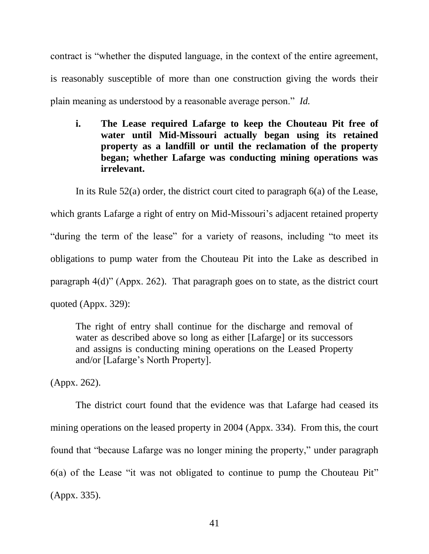contract is "whether the disputed language, in the context of the entire agreement, is reasonably susceptible of more than one construction giving the words their plain meaning as understood by a reasonable average person." *Id.*

**i. The Lease required Lafarge to keep the Chouteau Pit free of water until Mid-Missouri actually began using its retained property as a landfill or until the reclamation of the property began; whether Lafarge was conducting mining operations was irrelevant.**

In its Rule 52(a) order, the district court cited to paragraph 6(a) of the Lease, which grants Lafarge a right of entry on Mid-Missouri's adjacent retained property "during the term of the lease" for a variety of reasons, including "to meet its obligations to pump water from the Chouteau Pit into the Lake as described in paragraph 4(d)" (Appx. 262). That paragraph goes on to state, as the district court quoted (Appx. 329):

The right of entry shall continue for the discharge and removal of water as described above so long as either [Lafarge] or its successors and assigns is conducting mining operations on the Leased Property and/or [Lafarge"s North Property].

(Appx. 262).

The district court found that the evidence was that Lafarge had ceased its mining operations on the leased property in 2004 (Appx. 334). From this, the court found that "because Lafarge was no longer mining the property," under paragraph 6(a) of the Lease "it was not obligated to continue to pump the Chouteau Pit" (Appx. 335).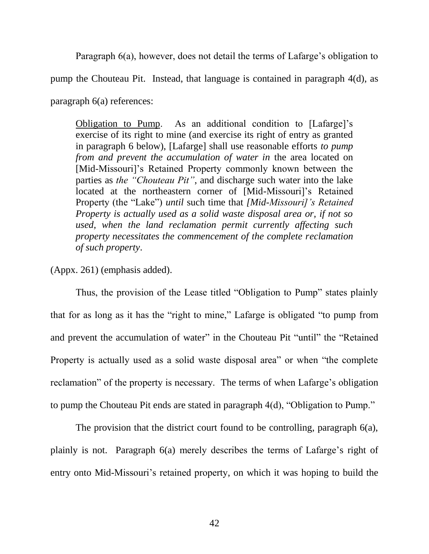Paragraph 6(a), however, does not detail the terms of Lafarge's obligation to

pump the Chouteau Pit. Instead, that language is contained in paragraph 4(d), as

paragraph 6(a) references:

Obligation to Pump. As an additional condition to [Lafarge]"s exercise of its right to mine (and exercise its right of entry as granted in paragraph 6 below), [Lafarge] shall use reasonable efforts *to pump from and prevent the accumulation of water in* the area located on [Mid-Missouri]'s Retained Property commonly known between the parties as *the "Chouteau Pit"*, and discharge such water into the lake located at the northeastern corner of [Mid-Missouri]'s Retained Property (the "Lake") *until* such time that *[Mid-Missouri]'s Retained Property is actually used as a solid waste disposal area or, if not so used, when the land reclamation permit currently affecting such property necessitates the commencement of the complete reclamation of such property*.

(Appx. 261) (emphasis added).

Thus, the provision of the Lease titled "Obligation to Pump" states plainly that for as long as it has the "right to mine," Lafarge is obligated "to pump from and prevent the accumulation of water" in the Chouteau Pit "until" the "Retained Property is actually used as a solid waste disposal area" or when "the complete reclamation" of the property is necessary. The terms of when Lafarge's obligation to pump the Chouteau Pit ends are stated in paragraph 4(d), "Obligation to Pump."

The provision that the district court found to be controlling, paragraph 6(a), plainly is not. Paragraph 6(a) merely describes the terms of Lafarge"s right of entry onto Mid-Missouri's retained property, on which it was hoping to build the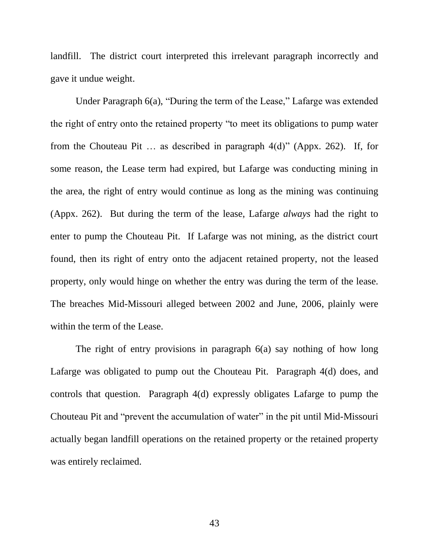landfill. The district court interpreted this irrelevant paragraph incorrectly and gave it undue weight.

Under Paragraph 6(a), "During the term of the Lease," Lafarge was extended the right of entry onto the retained property "to meet its obligations to pump water from the Chouteau Pit … as described in paragraph 4(d)" (Appx. 262). If, for some reason, the Lease term had expired, but Lafarge was conducting mining in the area, the right of entry would continue as long as the mining was continuing (Appx. 262). But during the term of the lease, Lafarge *always* had the right to enter to pump the Chouteau Pit. If Lafarge was not mining, as the district court found, then its right of entry onto the adjacent retained property, not the leased property, only would hinge on whether the entry was during the term of the lease. The breaches Mid-Missouri alleged between 2002 and June, 2006, plainly were within the term of the Lease.

The right of entry provisions in paragraph 6(a) say nothing of how long Lafarge was obligated to pump out the Chouteau Pit. Paragraph 4(d) does, and controls that question. Paragraph 4(d) expressly obligates Lafarge to pump the Chouteau Pit and "prevent the accumulation of water" in the pit until Mid-Missouri actually began landfill operations on the retained property or the retained property was entirely reclaimed.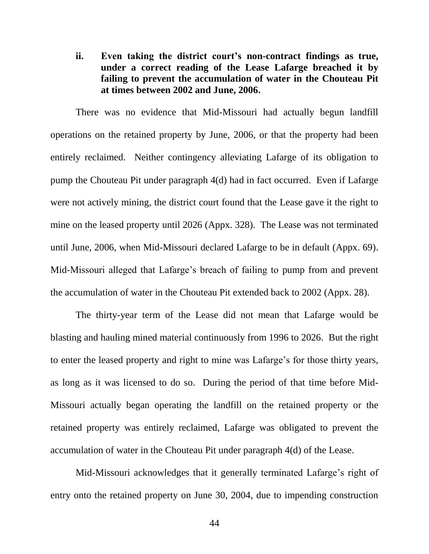**ii. Even taking the district court's non-contract findings as true, under a correct reading of the Lease Lafarge breached it by failing to prevent the accumulation of water in the Chouteau Pit at times between 2002 and June, 2006.**

There was no evidence that Mid-Missouri had actually begun landfill operations on the retained property by June, 2006, or that the property had been entirely reclaimed. Neither contingency alleviating Lafarge of its obligation to pump the Chouteau Pit under paragraph 4(d) had in fact occurred. Even if Lafarge were not actively mining, the district court found that the Lease gave it the right to mine on the leased property until 2026 (Appx. 328). The Lease was not terminated until June, 2006, when Mid-Missouri declared Lafarge to be in default (Appx. 69). Mid-Missouri alleged that Lafarge"s breach of failing to pump from and prevent the accumulation of water in the Chouteau Pit extended back to 2002 (Appx. 28).

The thirty-year term of the Lease did not mean that Lafarge would be blasting and hauling mined material continuously from 1996 to 2026. But the right to enter the leased property and right to mine was Lafarge"s for those thirty years, as long as it was licensed to do so. During the period of that time before Mid-Missouri actually began operating the landfill on the retained property or the retained property was entirely reclaimed, Lafarge was obligated to prevent the accumulation of water in the Chouteau Pit under paragraph 4(d) of the Lease.

Mid-Missouri acknowledges that it generally terminated Lafarge"s right of entry onto the retained property on June 30, 2004, due to impending construction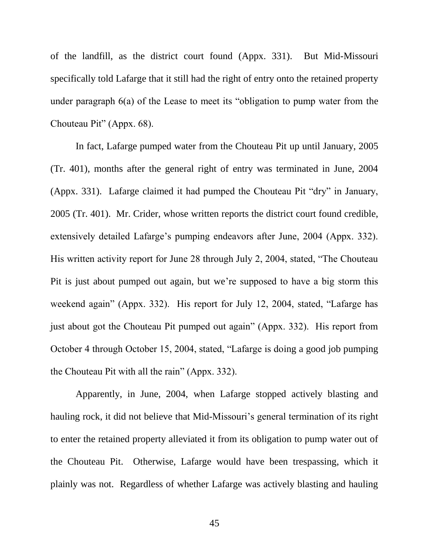of the landfill, as the district court found (Appx. 331). But Mid-Missouri specifically told Lafarge that it still had the right of entry onto the retained property under paragraph 6(a) of the Lease to meet its "obligation to pump water from the Chouteau Pit" (Appx. 68).

In fact, Lafarge pumped water from the Chouteau Pit up until January, 2005 (Tr. 401), months after the general right of entry was terminated in June, 2004 (Appx. 331). Lafarge claimed it had pumped the Chouteau Pit "dry" in January, 2005 (Tr. 401). Mr. Crider, whose written reports the district court found credible, extensively detailed Lafarge's pumping endeavors after June, 2004 (Appx. 332). His written activity report for June 28 through July 2, 2004, stated, "The Chouteau Pit is just about pumped out again, but we"re supposed to have a big storm this weekend again" (Appx. 332). His report for July 12, 2004, stated, "Lafarge has just about got the Chouteau Pit pumped out again" (Appx. 332). His report from October 4 through October 15, 2004, stated, "Lafarge is doing a good job pumping the Chouteau Pit with all the rain" (Appx. 332).

Apparently, in June, 2004, when Lafarge stopped actively blasting and hauling rock, it did not believe that Mid-Missouri's general termination of its right to enter the retained property alleviated it from its obligation to pump water out of the Chouteau Pit. Otherwise, Lafarge would have been trespassing, which it plainly was not. Regardless of whether Lafarge was actively blasting and hauling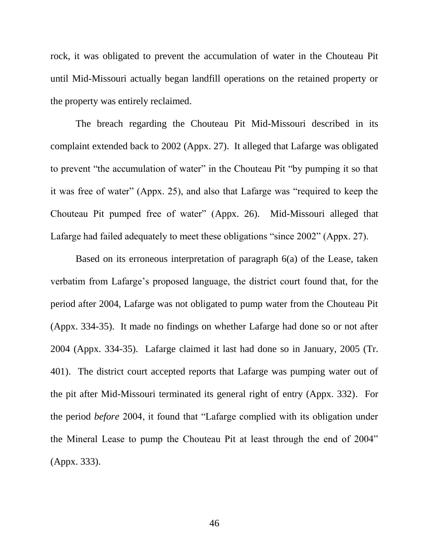rock, it was obligated to prevent the accumulation of water in the Chouteau Pit until Mid-Missouri actually began landfill operations on the retained property or the property was entirely reclaimed.

The breach regarding the Chouteau Pit Mid-Missouri described in its complaint extended back to 2002 (Appx. 27). It alleged that Lafarge was obligated to prevent "the accumulation of water" in the Chouteau Pit "by pumping it so that it was free of water" (Appx. 25), and also that Lafarge was "required to keep the Chouteau Pit pumped free of water" (Appx. 26). Mid-Missouri alleged that Lafarge had failed adequately to meet these obligations "since 2002" (Appx. 27).

Based on its erroneous interpretation of paragraph 6(a) of the Lease, taken verbatim from Lafarge"s proposed language, the district court found that, for the period after 2004, Lafarge was not obligated to pump water from the Chouteau Pit (Appx. 334-35). It made no findings on whether Lafarge had done so or not after 2004 (Appx. 334-35). Lafarge claimed it last had done so in January, 2005 (Tr. 401). The district court accepted reports that Lafarge was pumping water out of the pit after Mid-Missouri terminated its general right of entry (Appx. 332). For the period *before* 2004, it found that "Lafarge complied with its obligation under the Mineral Lease to pump the Chouteau Pit at least through the end of 2004" (Appx. 333).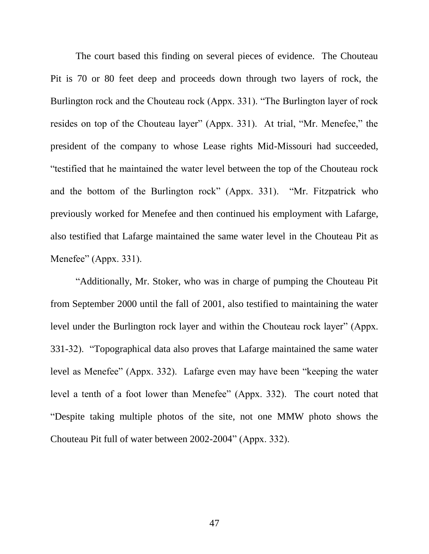The court based this finding on several pieces of evidence. The Chouteau Pit is 70 or 80 feet deep and proceeds down through two layers of rock, the Burlington rock and the Chouteau rock (Appx. 331). "The Burlington layer of rock resides on top of the Chouteau layer" (Appx. 331). At trial, "Mr. Menefee," the president of the company to whose Lease rights Mid-Missouri had succeeded, "testified that he maintained the water level between the top of the Chouteau rock and the bottom of the Burlington rock" (Appx. 331). "Mr. Fitzpatrick who previously worked for Menefee and then continued his employment with Lafarge, also testified that Lafarge maintained the same water level in the Chouteau Pit as Menefee" (Appx. 331).

"Additionally, Mr. Stoker, who was in charge of pumping the Chouteau Pit from September 2000 until the fall of 2001, also testified to maintaining the water level under the Burlington rock layer and within the Chouteau rock layer" (Appx. 331-32). "Topographical data also proves that Lafarge maintained the same water level as Menefee" (Appx. 332). Lafarge even may have been "keeping the water level a tenth of a foot lower than Menefee" (Appx. 332). The court noted that "Despite taking multiple photos of the site, not one MMW photo shows the Chouteau Pit full of water between 2002-2004" (Appx. 332).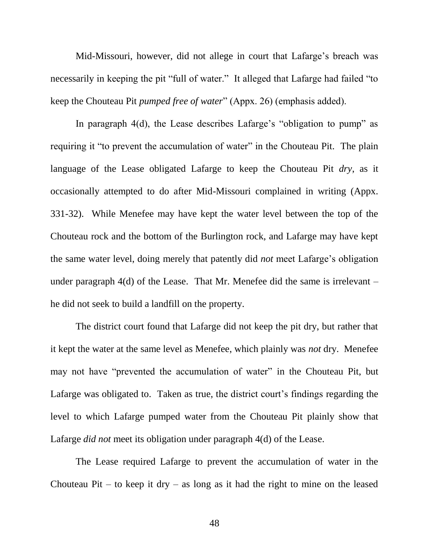Mid-Missouri, however, did not allege in court that Lafarge"s breach was necessarily in keeping the pit "full of water." It alleged that Lafarge had failed "to keep the Chouteau Pit *pumped free of water*" (Appx. 26) (emphasis added).

In paragraph 4(d), the Lease describes Lafarge's "obligation to pump" as requiring it "to prevent the accumulation of water" in the Chouteau Pit. The plain language of the Lease obligated Lafarge to keep the Chouteau Pit *dry*, as it occasionally attempted to do after Mid-Missouri complained in writing (Appx. 331-32). While Menefee may have kept the water level between the top of the Chouteau rock and the bottom of the Burlington rock, and Lafarge may have kept the same water level, doing merely that patently did *not* meet Lafarge"s obligation under paragraph  $4(d)$  of the Lease. That Mr. Menefee did the same is irrelevant – he did not seek to build a landfill on the property.

The district court found that Lafarge did not keep the pit dry, but rather that it kept the water at the same level as Menefee, which plainly was *not* dry. Menefee may not have "prevented the accumulation of water" in the Chouteau Pit, but Lafarge was obligated to. Taken as true, the district court's findings regarding the level to which Lafarge pumped water from the Chouteau Pit plainly show that Lafarge *did not* meet its obligation under paragraph 4(d) of the Lease.

The Lease required Lafarge to prevent the accumulation of water in the Chouteau Pit – to keep it dry – as long as it had the right to mine on the leased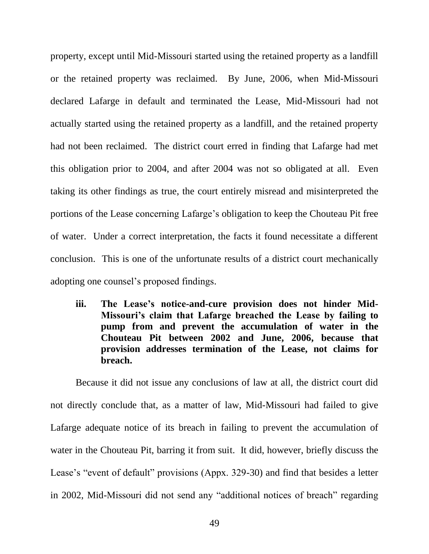property, except until Mid-Missouri started using the retained property as a landfill or the retained property was reclaimed. By June, 2006, when Mid-Missouri declared Lafarge in default and terminated the Lease, Mid-Missouri had not actually started using the retained property as a landfill, and the retained property had not been reclaimed. The district court erred in finding that Lafarge had met this obligation prior to 2004, and after 2004 was not so obligated at all. Even taking its other findings as true, the court entirely misread and misinterpreted the portions of the Lease concerning Lafarge"s obligation to keep the Chouteau Pit free of water. Under a correct interpretation, the facts it found necessitate a different conclusion. This is one of the unfortunate results of a district court mechanically adopting one counsel's proposed findings.

**iii. The Lease's notice-and-cure provision does not hinder Mid-Missouri's claim that Lafarge breached the Lease by failing to pump from and prevent the accumulation of water in the Chouteau Pit between 2002 and June, 2006, because that provision addresses termination of the Lease, not claims for breach.**

Because it did not issue any conclusions of law at all, the district court did not directly conclude that, as a matter of law, Mid-Missouri had failed to give Lafarge adequate notice of its breach in failing to prevent the accumulation of water in the Chouteau Pit, barring it from suit. It did, however, briefly discuss the Lease's "event of default" provisions (Appx. 329-30) and find that besides a letter in 2002, Mid-Missouri did not send any "additional notices of breach" regarding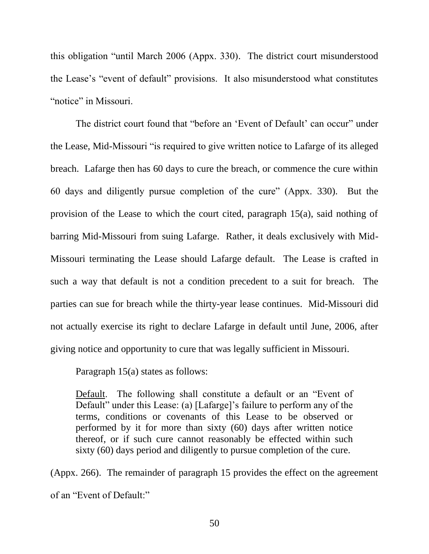this obligation "until March 2006 (Appx. 330). The district court misunderstood the Lease"s "event of default" provisions. It also misunderstood what constitutes "notice" in Missouri.

The district court found that "before an 'Event of Default' can occur" under the Lease, Mid-Missouri "is required to give written notice to Lafarge of its alleged breach. Lafarge then has 60 days to cure the breach, or commence the cure within 60 days and diligently pursue completion of the cure" (Appx. 330). But the provision of the Lease to which the court cited, paragraph 15(a), said nothing of barring Mid-Missouri from suing Lafarge. Rather, it deals exclusively with Mid-Missouri terminating the Lease should Lafarge default. The Lease is crafted in such a way that default is not a condition precedent to a suit for breach. The parties can sue for breach while the thirty-year lease continues. Mid-Missouri did not actually exercise its right to declare Lafarge in default until June, 2006, after giving notice and opportunity to cure that was legally sufficient in Missouri.

Paragraph 15(a) states as follows:

Default. The following shall constitute a default or an "Event of Default" under this Lease: (a) [Lafarge]'s failure to perform any of the terms, conditions or covenants of this Lease to be observed or performed by it for more than sixty (60) days after written notice thereof, or if such cure cannot reasonably be effected within such sixty (60) days period and diligently to pursue completion of the cure.

(Appx. 266). The remainder of paragraph 15 provides the effect on the agreement of an "Event of Default:"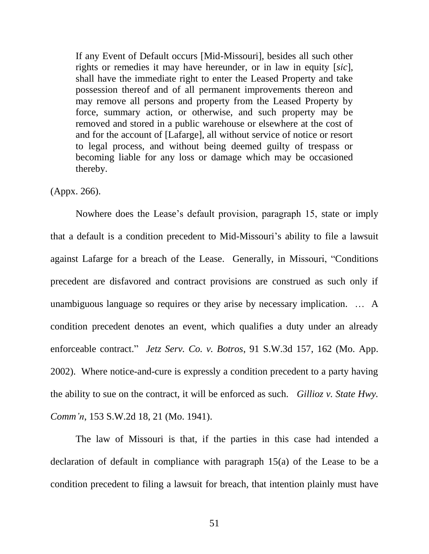If any Event of Default occurs [Mid-Missouri], besides all such other rights or remedies it may have hereunder, or in law in equity [*sic*], shall have the immediate right to enter the Leased Property and take possession thereof and of all permanent improvements thereon and may remove all persons and property from the Leased Property by force, summary action, or otherwise, and such property may be removed and stored in a public warehouse or elsewhere at the cost of and for the account of [Lafarge], all without service of notice or resort to legal process, and without being deemed guilty of trespass or becoming liable for any loss or damage which may be occasioned thereby.

(Appx. 266).

Nowhere does the Lease"s default provision, paragraph 15, state or imply that a default is a condition precedent to Mid-Missouri's ability to file a lawsuit against Lafarge for a breach of the Lease. Generally, in Missouri, "Conditions precedent are disfavored and contract provisions are construed as such only if unambiguous language so requires or they arise by necessary implication. … A condition precedent denotes an event, which qualifies a duty under an already enforceable contract." *Jetz Serv. Co. v. Botros*, 91 S.W.3d 157, 162 (Mo. App. 2002). Where notice-and-cure is expressly a condition precedent to a party having the ability to sue on the contract, it will be enforced as such. *Gillioz v. State Hwy. Comm'n*, 153 S.W.2d 18, 21 (Mo. 1941).

The law of Missouri is that, if the parties in this case had intended a declaration of default in compliance with paragraph 15(a) of the Lease to be a condition precedent to filing a lawsuit for breach, that intention plainly must have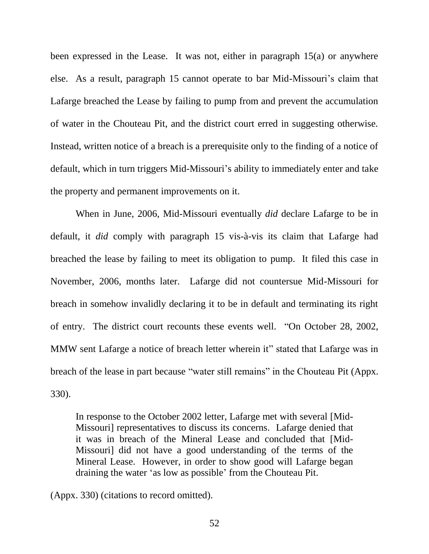been expressed in the Lease. It was not, either in paragraph 15(a) or anywhere else. As a result, paragraph 15 cannot operate to bar Mid-Missouri's claim that Lafarge breached the Lease by failing to pump from and prevent the accumulation of water in the Chouteau Pit, and the district court erred in suggesting otherwise. Instead, written notice of a breach is a prerequisite only to the finding of a notice of default, which in turn triggers Mid-Missouri's ability to immediately enter and take the property and permanent improvements on it.

When in June, 2006, Mid-Missouri eventually *did* declare Lafarge to be in default, it *did* comply with paragraph 15 vis-à-vis its claim that Lafarge had breached the lease by failing to meet its obligation to pump. It filed this case in November, 2006, months later. Lafarge did not countersue Mid-Missouri for breach in somehow invalidly declaring it to be in default and terminating its right of entry. The district court recounts these events well. "On October 28, 2002, MMW sent Lafarge a notice of breach letter wherein it" stated that Lafarge was in breach of the lease in part because "water still remains" in the Chouteau Pit (Appx. 330).

In response to the October 2002 letter, Lafarge met with several [Mid-Missouri] representatives to discuss its concerns. Lafarge denied that it was in breach of the Mineral Lease and concluded that [Mid-Missouri] did not have a good understanding of the terms of the Mineral Lease. However, in order to show good will Lafarge began draining the water "as low as possible" from the Chouteau Pit.

(Appx. 330) (citations to record omitted).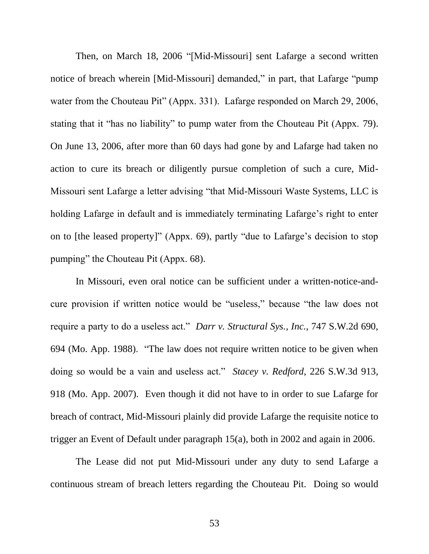Then, on March 18, 2006 "[Mid-Missouri] sent Lafarge a second written notice of breach wherein [Mid-Missouri] demanded," in part, that Lafarge "pump water from the Chouteau Pit" (Appx. 331). Lafarge responded on March 29, 2006, stating that it "has no liability" to pump water from the Chouteau Pit (Appx. 79). On June 13, 2006, after more than 60 days had gone by and Lafarge had taken no action to cure its breach or diligently pursue completion of such a cure, Mid-Missouri sent Lafarge a letter advising "that Mid-Missouri Waste Systems, LLC is holding Lafarge in default and is immediately terminating Lafarge's right to enter on to [the leased property]" (Appx. 69), partly "due to Lafarge"s decision to stop pumping" the Chouteau Pit (Appx. 68).

In Missouri, even oral notice can be sufficient under a written-notice-andcure provision if written notice would be "useless," because "the law does not require a party to do a useless act." *Darr v. Structural Sys., Inc.*, 747 S.W.2d 690, 694 (Mo. App. 1988). "The law does not require written notice to be given when doing so would be a vain and useless act." *Stacey v. Redford*, 226 S.W.3d 913, 918 (Mo. App. 2007). Even though it did not have to in order to sue Lafarge for breach of contract, Mid-Missouri plainly did provide Lafarge the requisite notice to trigger an Event of Default under paragraph 15(a), both in 2002 and again in 2006.

The Lease did not put Mid-Missouri under any duty to send Lafarge a continuous stream of breach letters regarding the Chouteau Pit. Doing so would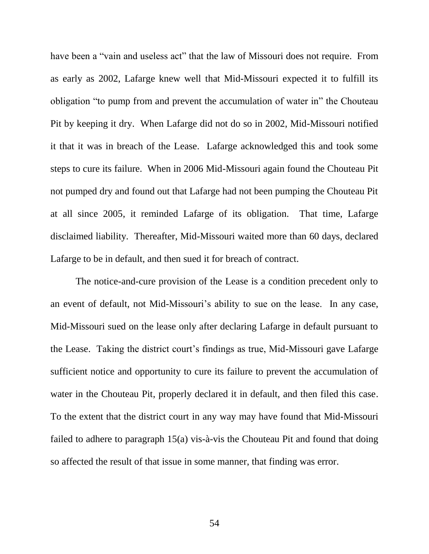have been a "vain and useless act" that the law of Missouri does not require. From as early as 2002, Lafarge knew well that Mid-Missouri expected it to fulfill its obligation "to pump from and prevent the accumulation of water in" the Chouteau Pit by keeping it dry. When Lafarge did not do so in 2002, Mid-Missouri notified it that it was in breach of the Lease. Lafarge acknowledged this and took some steps to cure its failure. When in 2006 Mid-Missouri again found the Chouteau Pit not pumped dry and found out that Lafarge had not been pumping the Chouteau Pit at all since 2005, it reminded Lafarge of its obligation. That time, Lafarge disclaimed liability. Thereafter, Mid-Missouri waited more than 60 days, declared Lafarge to be in default, and then sued it for breach of contract.

The notice-and-cure provision of the Lease is a condition precedent only to an event of default, not Mid-Missouri's ability to sue on the lease. In any case, Mid-Missouri sued on the lease only after declaring Lafarge in default pursuant to the Lease. Taking the district court's findings as true, Mid-Missouri gave Lafarge sufficient notice and opportunity to cure its failure to prevent the accumulation of water in the Chouteau Pit, properly declared it in default, and then filed this case. To the extent that the district court in any way may have found that Mid-Missouri failed to adhere to paragraph 15(a) vis-à-vis the Chouteau Pit and found that doing so affected the result of that issue in some manner, that finding was error.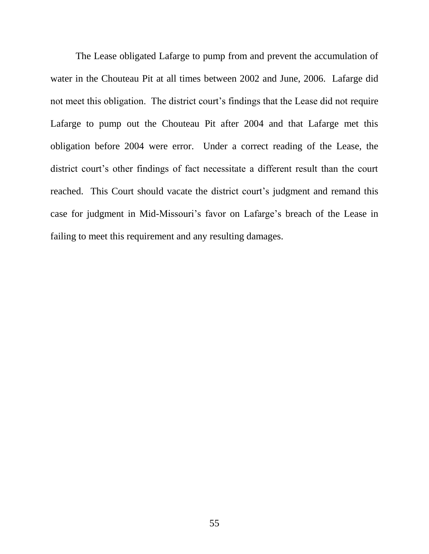The Lease obligated Lafarge to pump from and prevent the accumulation of water in the Chouteau Pit at all times between 2002 and June, 2006. Lafarge did not meet this obligation. The district court's findings that the Lease did not require Lafarge to pump out the Chouteau Pit after 2004 and that Lafarge met this obligation before 2004 were error. Under a correct reading of the Lease, the district court's other findings of fact necessitate a different result than the court reached. This Court should vacate the district court's judgment and remand this case for judgment in Mid-Missouri's favor on Lafarge's breach of the Lease in failing to meet this requirement and any resulting damages.